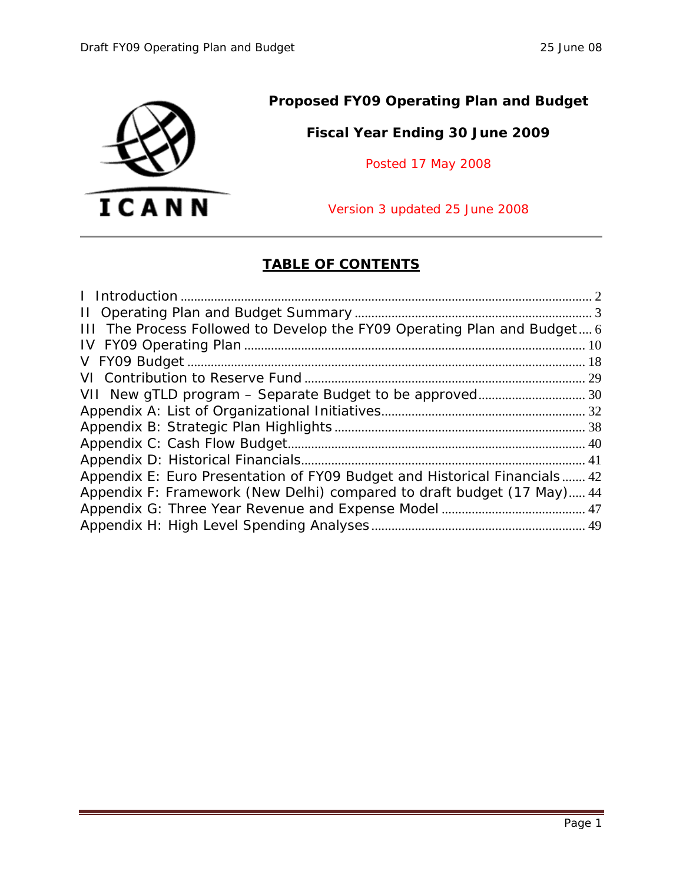

### **Proposed FY09 Operating Plan and Budget**

### **Fiscal Year Ending 30 June 2009**

Posted 17 May 2008

Version 3 updated 25 June 2008

### **TABLE OF CONTENTS**

| III The Process Followed to Develop the FY09 Operating Plan and Budget 6  |
|---------------------------------------------------------------------------|
|                                                                           |
|                                                                           |
|                                                                           |
|                                                                           |
|                                                                           |
|                                                                           |
|                                                                           |
|                                                                           |
| Appendix E: Euro Presentation of FY09 Budget and Historical Financials 42 |
| Appendix F: Framework (New Delhi) compared to draft budget (17 May) 44    |
|                                                                           |
|                                                                           |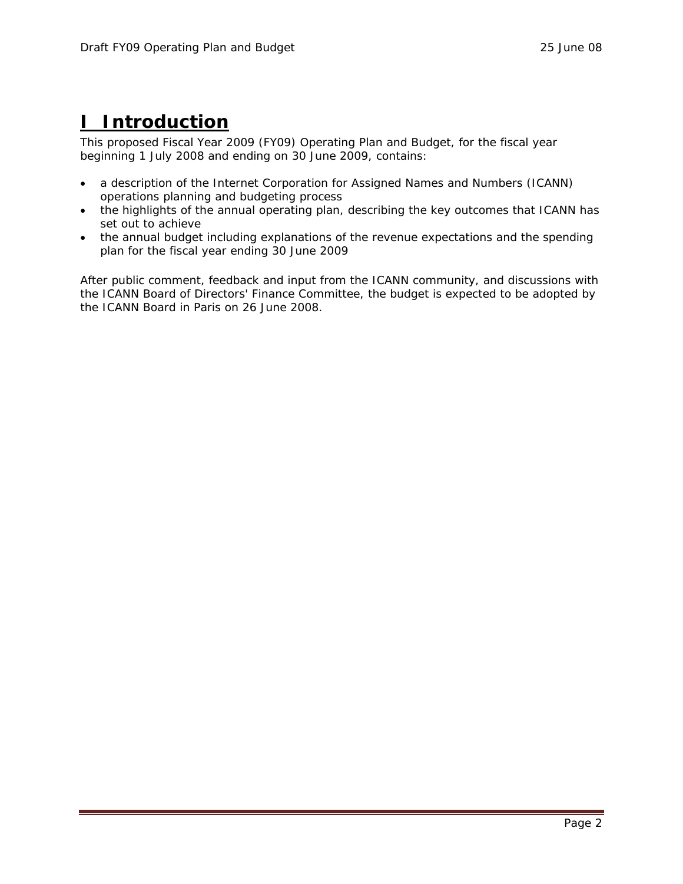## **I Introduction**

This proposed Fiscal Year 2009 (FY09) Operating Plan and Budget, for the fiscal year beginning 1 July 2008 and ending on 30 June 2009, contains:

- a description of the Internet Corporation for Assigned Names and Numbers (ICANN) operations planning and budgeting process
- the highlights of the annual operating plan, describing the key outcomes that ICANN has set out to achieve
- the annual budget including explanations of the revenue expectations and the spending plan for the fiscal year ending 30 June 2009

After public comment, feedback and input from the ICANN community, and discussions with the ICANN Board of Directors' Finance Committee, the budget is expected to be adopted by the ICANN Board in Paris on 26 June 2008.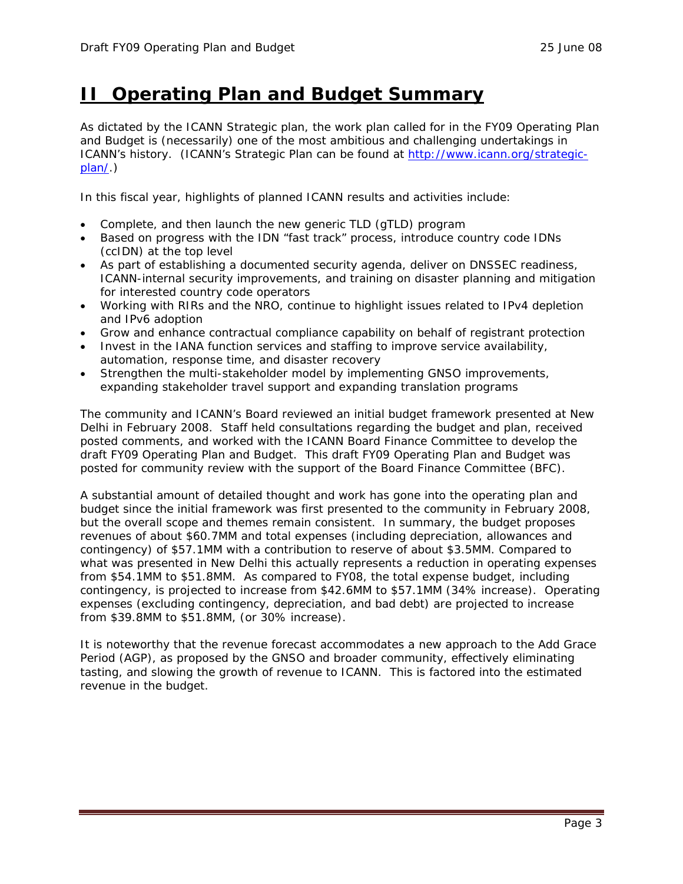### **II Operating Plan and Budget Summary**

As dictated by the ICANN Strategic plan, the work plan called for in the FY09 Operating Plan and Budget is (necessarily) one of the most ambitious and challenging undertakings in ICANN's history. (ICANN's Strategic Plan can be found at http://www.icann.org/strategicplan/.)

In this fiscal year, highlights of planned ICANN results and activities include:

- Complete, and then launch the new generic TLD (gTLD) program
- Based on progress with the IDN "fast track" process, introduce country code IDNs (ccIDN) at the top level
- As part of establishing a documented security agenda, deliver on DNSSEC readiness, ICANN-internal security improvements, and training on disaster planning and mitigation for interested country code operators
- Working with RIRs and the NRO, continue to highlight issues related to IPv4 depletion and IPv6 adoption
- Grow and enhance contractual compliance capability on behalf of registrant protection
- Invest in the IANA function services and staffing to improve service availability, automation, response time, and disaster recovery
- Strengthen the multi-stakeholder model by implementing GNSO improvements, expanding stakeholder travel support and expanding translation programs

The community and ICANN's Board reviewed an initial budget framework presented at New Delhi in February 2008. Staff held consultations regarding the budget and plan, received posted comments, and worked with the ICANN Board Finance Committee to develop the draft FY09 Operating Plan and Budget. This draft FY09 Operating Plan and Budget was posted for community review with the support of the Board Finance Committee (BFC).

A substantial amount of detailed thought and work has gone into the operating plan and budget since the initial framework was first presented to the community in February 2008, but the overall scope and themes remain consistent. In summary, the budget proposes revenues of about \$60.7MM and total expenses (including depreciation, allowances and contingency) of \$57.1MM with a contribution to reserve of about \$3.5MM. Compared to what was presented in New Delhi this actually represents a reduction in operating expenses from \$54.1MM to \$51.8MM. As compared to FY08, the total expense budget, including contingency, is projected to increase from \$42.6MM to \$57.1MM (34% increase). Operating expenses (excluding contingency, depreciation, and bad debt) are projected to increase from \$39.8MM to \$51.8MM, (or 30% increase).

It is noteworthy that the revenue forecast accommodates a new approach to the Add Grace Period (AGP), as proposed by the GNSO and broader community, effectively eliminating tasting, and slowing the growth of revenue to ICANN. This is factored into the estimated revenue in the budget.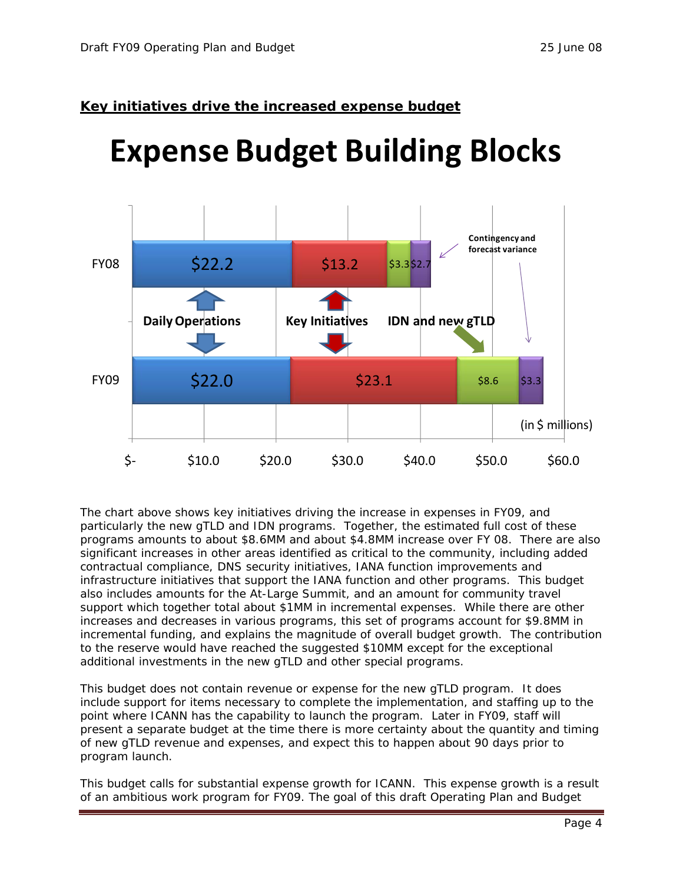### **Key initiatives drive the increased expense budget**

# **Expense Budget Building Blocks**



The chart above shows key initiatives driving the increase in expenses in FY09, and particularly the new gTLD and IDN programs. Together, the estimated full cost of these programs amounts to about \$8.6MM and about \$4.8MM increase over FY 08. There are also significant increases in other areas identified as critical to the community, including added contractual compliance, DNS security initiatives, IANA function improvements and infrastructure initiatives that support the IANA function and other programs. This budget also includes amounts for the At-Large Summit, and an amount for community travel support which together total about \$1MM in incremental expenses. While there are other increases and decreases in various programs, this set of programs account for \$9.8MM in incremental funding, and explains the magnitude of overall budget growth. The contribution to the reserve would have reached the suggested \$10MM except for the exceptional additional investments in the new gTLD and other special programs.

This budget does not contain revenue or expense for the new gTLD program. It does include support for items necessary to complete the implementation, and staffing up to the point where ICANN has the capability to launch the program. Later in FY09, staff will present a separate budget at the time there is more certainty about the quantity and timing of new gTLD revenue and expenses, and expect this to happen about 90 days prior to program launch.

This budget calls for substantial expense growth for ICANN. This expense growth is a result of an ambitious work program for FY09. The goal of this draft Operating Plan and Budget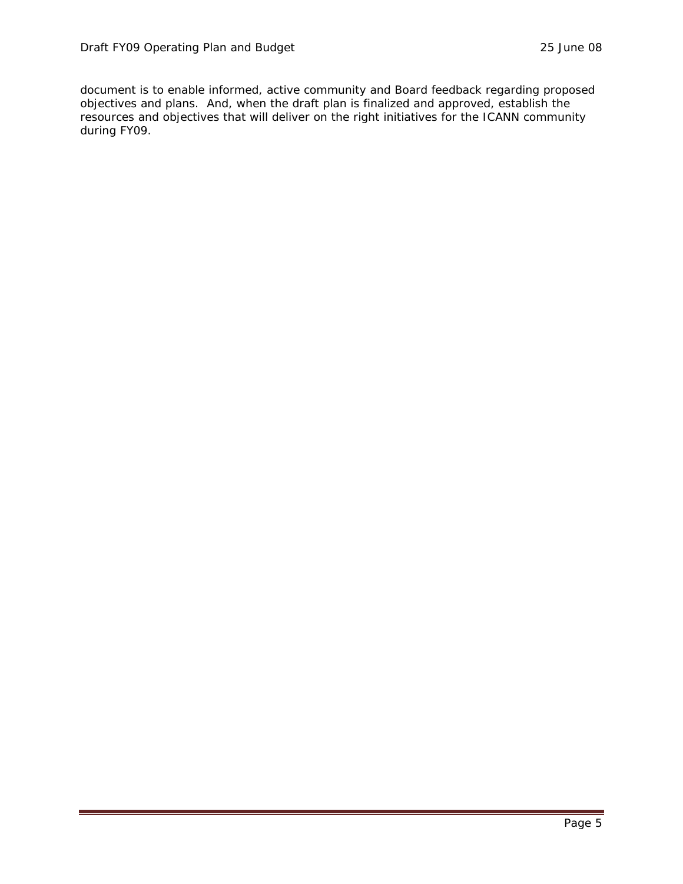document is to enable informed, active community and Board feedback regarding proposed objectives and plans. And, when the draft plan is finalized and approved, establish the resources and objectives that will deliver on the right initiatives for the ICANN community during FY09.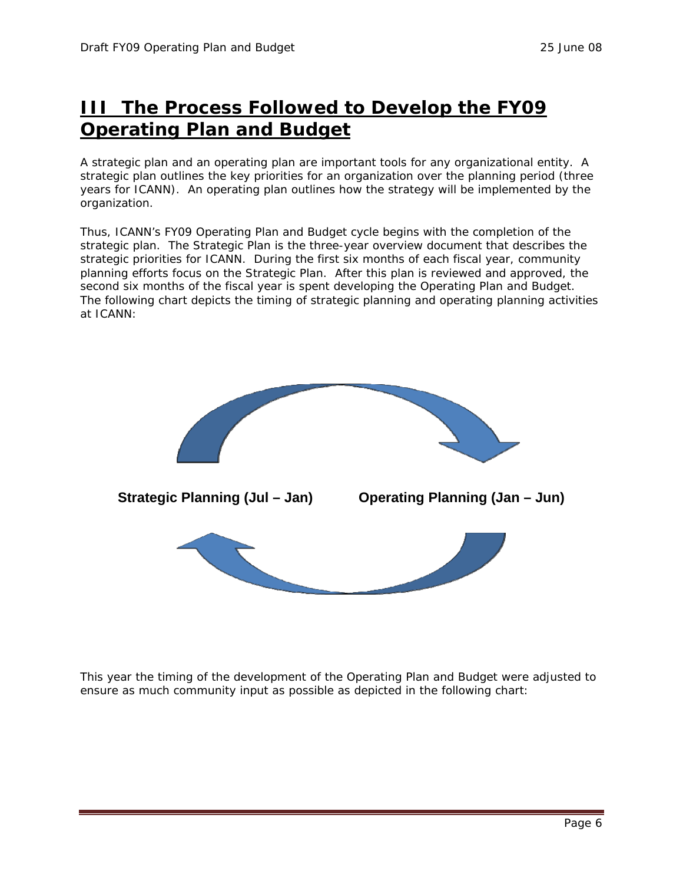## **III The Process Followed to Develop the FY09 Operating Plan and Budget**

A strategic plan and an operating plan are important tools for any organizational entity. A strategic plan outlines the key priorities for an organization over the planning period (three years for ICANN). An operating plan outlines how the strategy will be implemented by the organization.

Thus, ICANN's FY09 Operating Plan and Budget cycle begins with the completion of the strategic plan. The Strategic Plan is the three-year overview document that describes the strategic priorities for ICANN. During the first six months of each fiscal year, community planning efforts focus on the Strategic Plan. After this plan is reviewed and approved, the second six months of the fiscal year is spent developing the Operating Plan and Budget. The following chart depicts the timing of strategic planning and operating planning activities at ICANN:



This year the timing of the development of the Operating Plan and Budget were adjusted to ensure as much community input as possible as depicted in the following chart: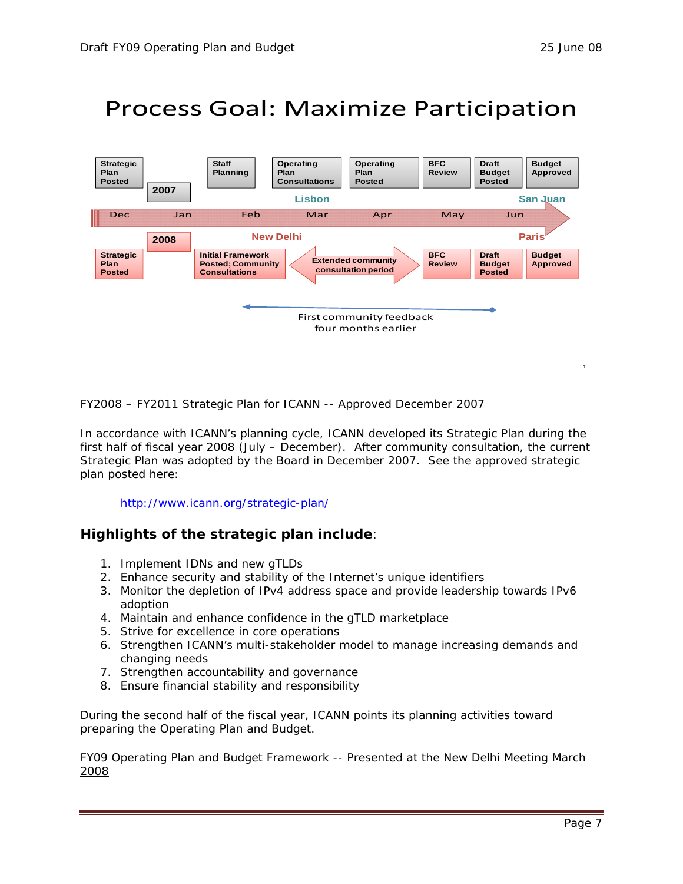1

## Process Goal: Maximize Participation



### FY2008 – FY2011 Strategic Plan for ICANN -- Approved December 2007

In accordance with ICANN's planning cycle, ICANN developed its Strategic Plan during the first half of fiscal year 2008 (July – December). After community consultation, the current Strategic Plan was adopted by the Board in December 2007. See the approved strategic plan posted here:

### http://www.icann.org/strategic-plan/

### **Highlights of the strategic plan include**:

- 1. Implement IDNs and new gTLDs
- 2. Enhance security and stability of the Internet's unique identifiers
- 3. Monitor the depletion of IPv4 address space and provide leadership towards IPv6 adoption
- 4. Maintain and enhance confidence in the gTLD marketplace
- 5. Strive for excellence in core operations
- 6. Strengthen ICANN's multi-stakeholder model to manage increasing demands and changing needs
- 7. Strengthen accountability and governance
- 8. Ensure financial stability and responsibility

During the second half of the fiscal year, ICANN points its planning activities toward preparing the Operating Plan and Budget.

#### FY09 Operating Plan and Budget Framework -- Presented at the New Delhi Meeting March 2008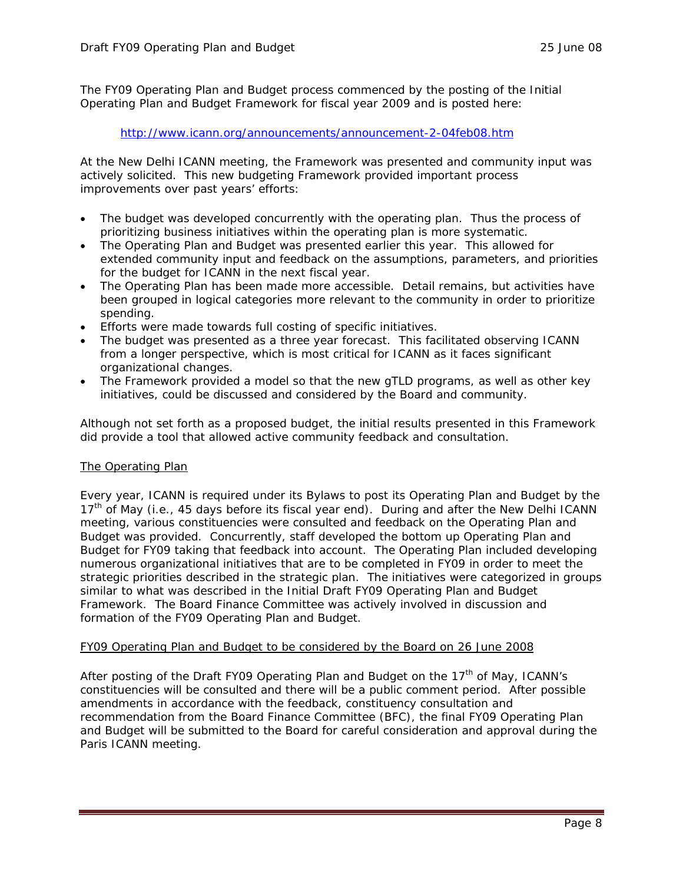The FY09 Operating Plan and Budget process commenced by the posting of the Initial Operating Plan and Budget Framework for fiscal year 2009 and is posted here:

#### http://www.icann.org/announcements/announcement-2-04feb08.htm

At the New Delhi ICANN meeting, the Framework was presented and community input was actively solicited. This new budgeting Framework provided important process improvements over past years' efforts:

- The budget was developed concurrently with the operating plan. Thus the process of prioritizing business initiatives within the operating plan is more systematic.
- The Operating Plan and Budget was presented earlier this year. This allowed for extended community input and feedback on the assumptions, parameters, and priorities for the budget for ICANN in the next fiscal year.
- The Operating Plan has been made more accessible. Detail remains, but activities have been grouped in logical categories more relevant to the community in order to prioritize spending.
- Efforts were made towards full costing of specific initiatives.
- The budget was presented as a three year forecast. This facilitated observing ICANN from a longer perspective, which is most critical for ICANN as it faces significant organizational changes.
- The Framework provided a model so that the new gTLD programs, as well as other key initiatives, could be discussed and considered by the Board and community.

Although not set forth as a proposed budget, the initial results presented in this Framework did provide a tool that allowed active community feedback and consultation.

### The Operating Plan

Every year, ICANN is required under its Bylaws to post its Operating Plan and Budget by the 17<sup>th</sup> of May (i.e., 45 days before its fiscal year end). During and after the New Delhi ICANN meeting, various constituencies were consulted and feedback on the Operating Plan and Budget was provided. Concurrently, staff developed the bottom up Operating Plan and Budget for FY09 taking that feedback into account. The Operating Plan included developing numerous organizational initiatives that are to be completed in FY09 in order to meet the strategic priorities described in the strategic plan. The initiatives were categorized in groups similar to what was described in the Initial Draft FY09 Operating Plan and Budget Framework. The Board Finance Committee was actively involved in discussion and formation of the FY09 Operating Plan and Budget.

### FY09 Operating Plan and Budget to be considered by the Board on 26 June 2008

After posting of the Draft FY09 Operating Plan and Budget on the 17<sup>th</sup> of May, ICANN's constituencies will be consulted and there will be a public comment period. After possible amendments in accordance with the feedback, constituency consultation and recommendation from the Board Finance Committee (BFC), the final FY09 Operating Plan and Budget will be submitted to the Board for careful consideration and approval during the Paris ICANN meeting.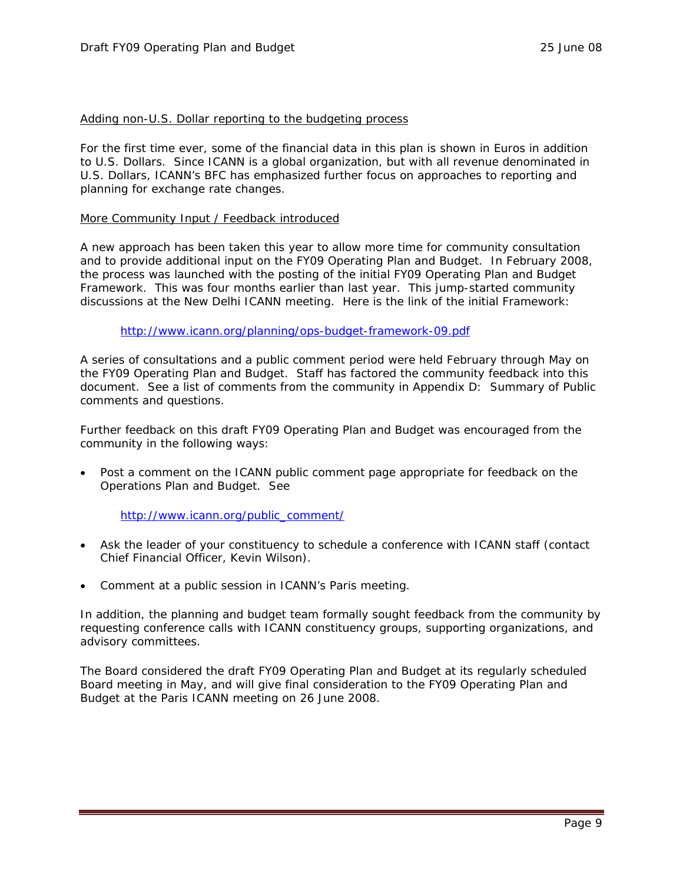#### Adding non-U.S. Dollar reporting to the budgeting process

For the first time ever, some of the financial data in this plan is shown in Euros in addition to U.S. Dollars. Since ICANN is a global organization, but with all revenue denominated in U.S. Dollars, ICANN's BFC has emphasized further focus on approaches to reporting and planning for exchange rate changes.

#### More Community Input / Feedback introduced

A new approach has been taken this year to allow more time for community consultation and to provide additional input on the FY09 Operating Plan and Budget. In February 2008, the process was launched with the posting of the initial FY09 Operating Plan and Budget Framework. This was four months earlier than last year. This jump-started community discussions at the New Delhi ICANN meeting. Here is the link of the initial Framework:

#### http://www.icann.org/planning/ops-budget-framework-09.pdf

A series of consultations and a public comment period were held February through May on the FY09 Operating Plan and Budget. Staff has factored the community feedback into this document. See a list of comments from the community in Appendix D: Summary of Public comments and questions.

Further feedback on this draft FY09 Operating Plan and Budget was encouraged from the community in the following ways:

• Post a comment on the ICANN public comment page appropriate for feedback on the Operations Plan and Budget. *See* 

#### http://www.icann.org/public\_comment/

- Ask the leader of your constituency to schedule a conference with ICANN staff (contact Chief Financial Officer, Kevin Wilson).
- Comment at a public session in ICANN's Paris meeting.

In addition, the planning and budget team formally sought feedback from the community by requesting conference calls with ICANN constituency groups, supporting organizations, and advisory committees.

The Board considered the draft FY09 Operating Plan and Budget at its regularly scheduled Board meeting in May, and will give final consideration to the FY09 Operating Plan and Budget at the Paris ICANN meeting on 26 June 2008.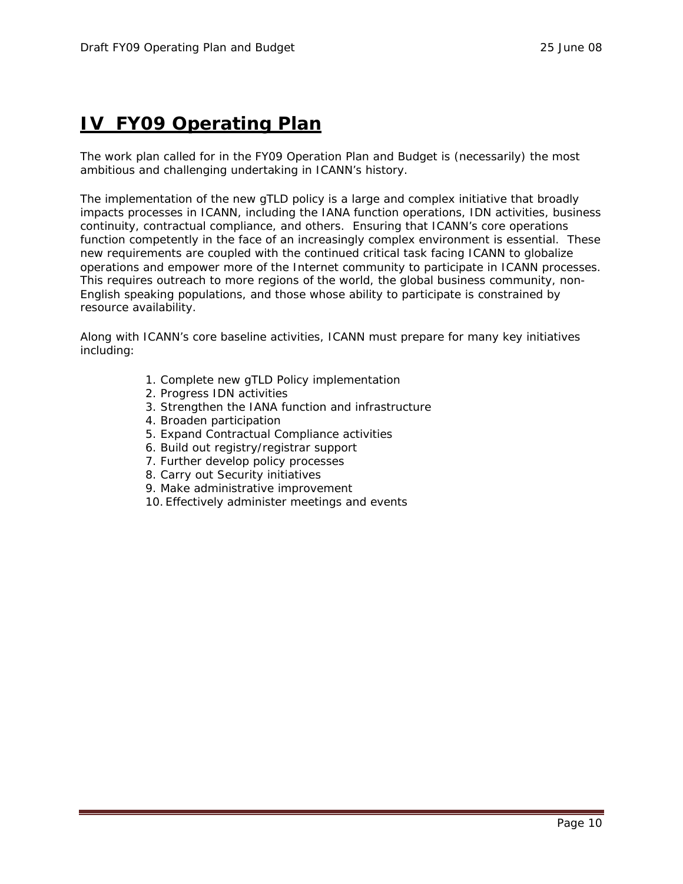## **IV FY09 Operating Plan**

The work plan called for in the FY09 Operation Plan and Budget is (necessarily) the most ambitious and challenging undertaking in ICANN's history.

The implementation of the new gTLD policy is a large and complex initiative that broadly impacts processes in ICANN, including the IANA function operations, IDN activities, business continuity, contractual compliance, and others. Ensuring that ICANN's core operations function competently in the face of an increasingly complex environment is essential. These new requirements are coupled with the continued critical task facing ICANN to globalize operations and empower more of the Internet community to participate in ICANN processes. This requires outreach to more regions of the world, the global business community, non-English speaking populations, and those whose ability to participate is constrained by resource availability.

Along with ICANN's core baseline activities, ICANN must prepare for many key initiatives including:

- 1. Complete new gTLD Policy implementation
- 2. Progress IDN activities
- 3. Strengthen the IANA function and infrastructure
- 4. Broaden participation
- 5. Expand Contractual Compliance activities
- 6. Build out registry/registrar support
- 7. Further develop policy processes
- 8. Carry out Security initiatives
- 9. Make administrative improvement
- 10. Effectively administer meetings and events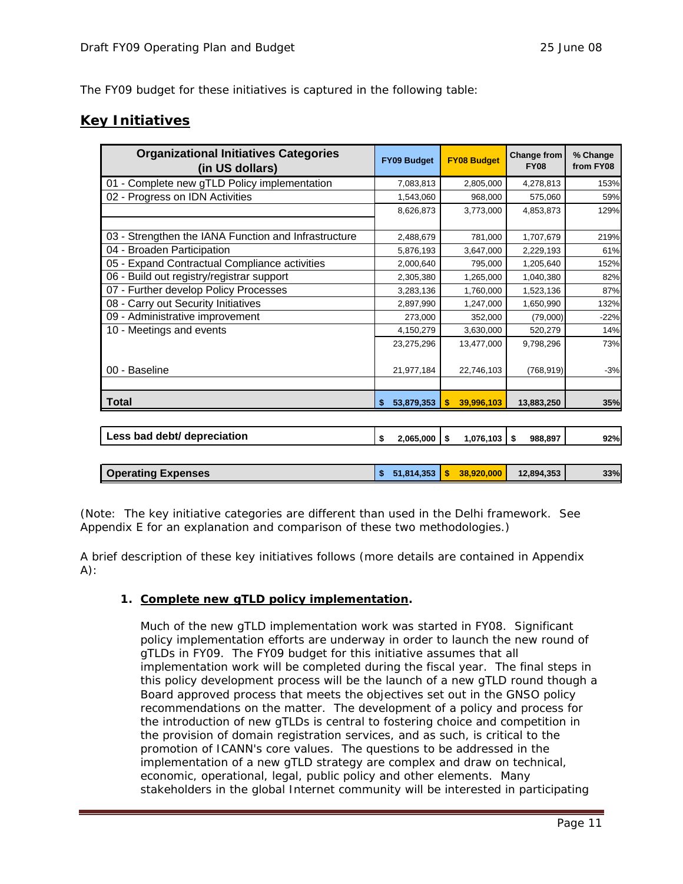The FY09 budget for these initiatives is captured in the following table:

### **Key Initiatives**

| <b>Organizational Initiatives Categories</b><br>(in US dollars) | <b>FY09 Budget</b> | <b>FY08 Budget</b>     | <b>Change from</b><br><b>FY08</b> | % Change<br>from FY08 |
|-----------------------------------------------------------------|--------------------|------------------------|-----------------------------------|-----------------------|
| 01 - Complete new gTLD Policy implementation                    | 7,083,813          | 2,805,000              | 4,278,813                         | 153%                  |
| 02 - Progress on IDN Activities                                 | 1,543,060          | 968,000                | 575,060                           | 59%                   |
|                                                                 | 8,626,873          | 3,773,000              | 4,853,873                         | 129%                  |
|                                                                 |                    |                        |                                   |                       |
| 03 - Strengthen the IANA Function and Infrastructure            | 2,488,679          | 781,000                | 1,707,679                         | 219%                  |
| 04 - Broaden Participation                                      | 5,876,193          | 3,647,000              | 2,229,193                         | 61%                   |
| 05 - Expand Contractual Compliance activities                   | 2,000,640          | 795,000                | 1,205,640                         | 152%                  |
| 06 - Build out registry/registrar support                       | 2,305,380          | 1,265,000              | 1,040,380                         | 82%                   |
| 07 - Further develop Policy Processes                           | 3,283,136          | 1,760,000              | 1,523,136                         | 87%                   |
| 08 - Carry out Security Initiatives                             | 2,897,990          | 1,247,000              | 1,650,990                         | 132%                  |
| 09 - Administrative improvement                                 | 273,000            | 352,000                | (79,000)                          | $-22%$                |
| 10 - Meetings and events                                        | 4,150,279          | 3,630,000              | 520,279                           | 14%                   |
|                                                                 | 23,275,296         | 13,477,000             | 9,798,296                         | 73%                   |
| 00 - Baseline                                                   | 21,977,184         | 22,746,103             | (768, 919)                        | $-3%$                 |
| <b>Total</b>                                                    | 53,879,353<br>\$   | \$<br>39,996,103       | 13,883,250                        | 35%                   |
|                                                                 |                    |                        |                                   |                       |
| Less bad debt/ depreciation                                     | \$<br>2,065,000    | $1,076,103$ \$<br>\$   | 988,897                           | 92%                   |
|                                                                 |                    |                        |                                   |                       |
| <b>Operating Expenses</b>                                       | 51,814,353<br>\$   | 38,920,000<br><b>S</b> | 12,894,353                        | 33%                   |

(Note: The key initiative categories are different than used in the Delhi framework. See Appendix E for an explanation and comparison of these two methodologies.)

A brief description of these key initiatives follows (more details are contained in Appendix  $A)$ :

### **1. Complete new gTLD policy implementation.**

Much of the new gTLD implementation work was started in FY08. Significant policy implementation efforts are underway in order to launch the new round of gTLDs in FY09. The FY09 budget for this initiative assumes that all implementation work will be completed during the fiscal year. The final steps in this policy development process will be the launch of a new gTLD round though a Board approved process that meets the objectives set out in the GNSO policy recommendations on the matter. The development of a policy and process for the introduction of new gTLDs is central to fostering choice and competition in the provision of domain registration services, and as such, is critical to the promotion of ICANN's core values. The questions to be addressed in the implementation of a new gTLD strategy are complex and draw on technical, economic, operational, legal, public policy and other elements. Many stakeholders in the global Internet community will be interested in participating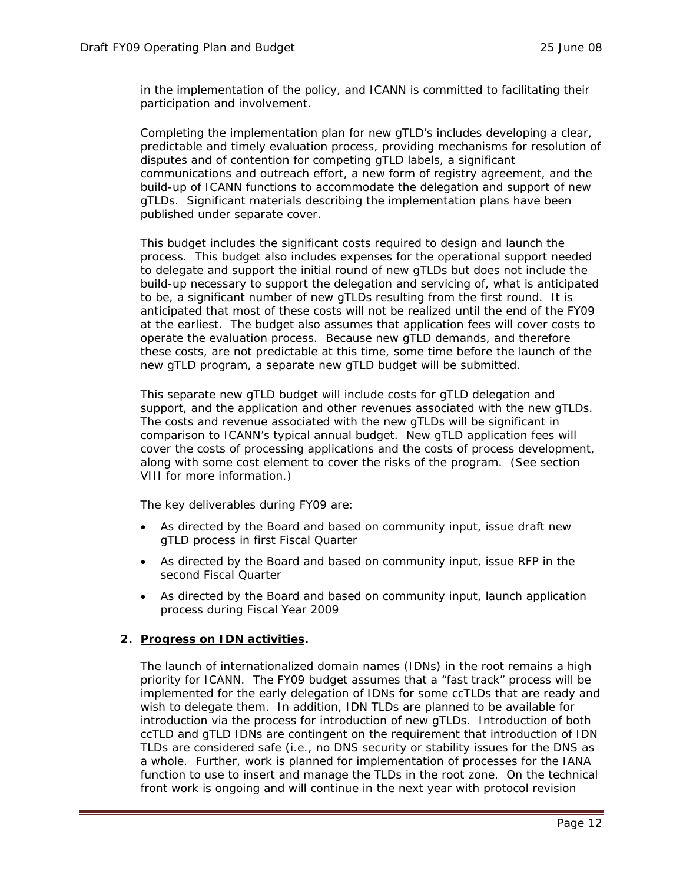in the implementation of the policy, and ICANN is committed to facilitating their participation and involvement.

Completing the implementation plan for new gTLD's includes developing a clear, predictable and timely evaluation process, providing mechanisms for resolution of disputes and of contention for competing gTLD labels, a significant communications and outreach effort, a new form of registry agreement, and the build-up of ICANN functions to accommodate the delegation and support of new gTLDs. Significant materials describing the implementation plans have been published under separate cover.

This budget includes the significant costs required to design and launch the process. This budget also includes expenses for the operational support needed to delegate and support the initial round of new gTLDs but does not include the build-up necessary to support the delegation and servicing of, what is anticipated to be, a significant number of new gTLDs resulting from the first round. It is anticipated that most of these costs will not be realized until the end of the FY09 at the earliest. The budget also assumes that application fees will cover costs to operate the evaluation process. Because new gTLD demands, and therefore these costs, are not predictable at this time, some time before the launch of the new gTLD program, a separate new gTLD budget will be submitted.

This separate new gTLD budget will include costs for gTLD delegation and support, and the application and other revenues associated with the new gTLDs. The costs and revenue associated with the new gTLDs will be significant in comparison to ICANN's typical annual budget. New gTLD application fees will cover the costs of processing applications and the costs of process development, along with some cost element to cover the risks of the program. (See section VIII for more information.)

The key deliverables during FY09 are:

- As directed by the Board and based on community input, issue draft new gTLD process in first Fiscal Quarter
- As directed by the Board and based on community input, issue RFP in the second Fiscal Quarter
- As directed by the Board and based on community input, launch application process during Fiscal Year 2009

#### **2. Progress on IDN activities.**

The launch of internationalized domain names (IDNs) in the root remains a high priority for ICANN. The FY09 budget assumes that a "fast track" process will be implemented for the early delegation of IDNs for some ccTLDs that are ready and wish to delegate them. In addition, IDN TLDs are planned to be available for introduction via the process for introduction of new gTLDs. Introduction of both ccTLD and gTLD IDNs are contingent on the requirement that introduction of IDN TLDs are considered safe (i.e., no DNS security or stability issues for the DNS as a whole. Further, work is planned for implementation of processes for the IANA function to use to insert and manage the TLDs in the root zone. On the technical front work is ongoing and will continue in the next year with protocol revision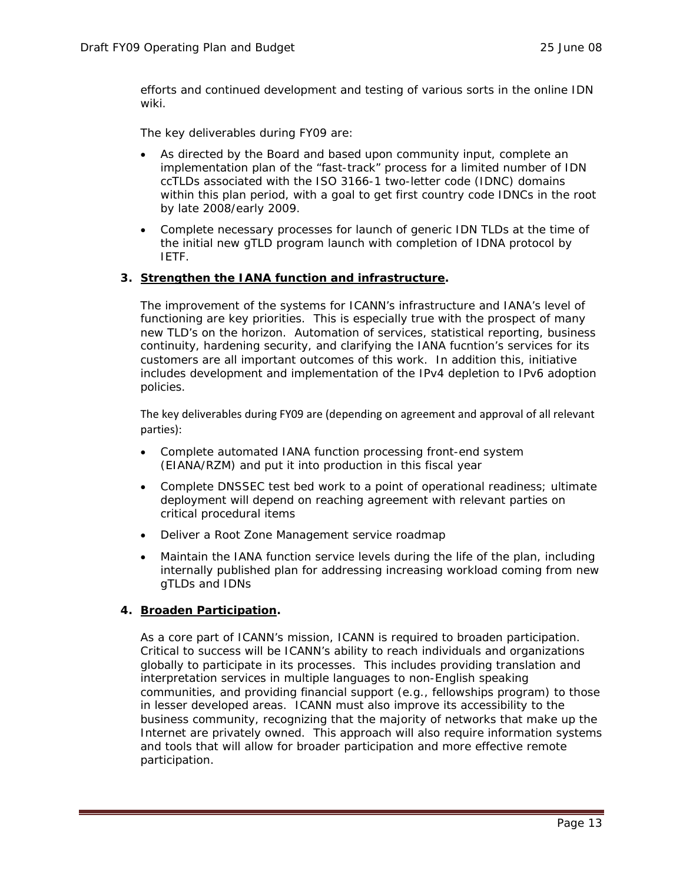efforts and continued development and testing of various sorts in the online IDN wiki.

The key deliverables during FY09 are:

- As directed by the Board and based upon community input, complete an implementation plan of the "fast-track" process for a limited number of IDN ccTLDs associated with the ISO 3166-1 two-letter code (IDNC) domains within this plan period, with a goal to get first country code IDNCs in the root by late 2008/early 2009.
- Complete necessary processes for launch of generic IDN TLDs at the time of the initial new gTLD program launch with completion of IDNA protocol by IETF.

### **3. Strengthen the IANA function and infrastructure.**

The improvement of the systems for ICANN's infrastructure and IANA's level of functioning are key priorities. This is especially true with the prospect of many new TLD's on the horizon. Automation of services, statistical reporting, business continuity, hardening security, and clarifying the IANA fucntion's services for its customers are all important outcomes of this work. In addition this, initiative includes development and implementation of the IPv4 depletion to IPv6 adoption policies.

The key deliverables during FY09 are (depending on agreement and approval of all relevant parties):

- Complete automated IANA function processing front-end system (EIANA/RZM) and put it into production in this fiscal year
- Complete DNSSEC test bed work to a point of operational readiness; ultimate deployment will depend on reaching agreement with relevant parties on critical procedural items
- Deliver a Root Zone Management service roadmap
- Maintain the IANA function service levels during the life of the plan, including internally published plan for addressing increasing workload coming from new gTLDs and IDNs

### **4. Broaden Participation.**

As a core part of ICANN's mission, ICANN is required to broaden participation. Critical to success will be ICANN's ability to reach individuals and organizations globally to participate in its processes. This includes providing translation and interpretation services in multiple languages to non-English speaking communities, and providing financial support (e.g., fellowships program) to those in lesser developed areas. ICANN must also improve its accessibility to the business community, recognizing that the majority of networks that make up the Internet are privately owned. This approach will also require information systems and tools that will allow for broader participation and more effective remote participation.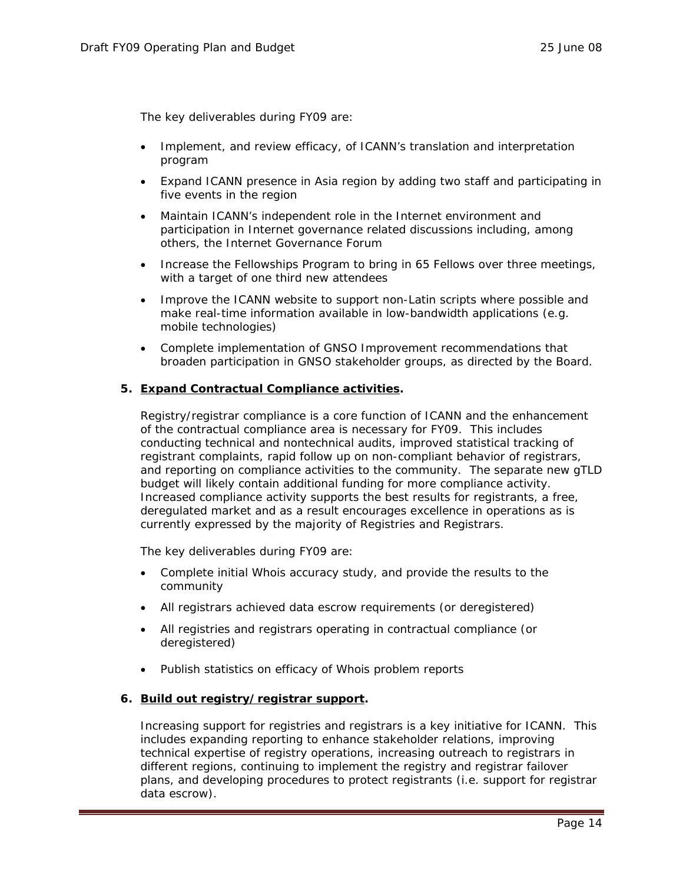The key deliverables during FY09 are:

- Implement, and review efficacy, of ICANN's translation and interpretation program
- Expand ICANN presence in Asia region by adding two staff and participating in five events in the region
- Maintain ICANN's independent role in the Internet environment and participation in Internet governance related discussions including, among others, the Internet Governance Forum
- Increase the Fellowships Program to bring in 65 Fellows over three meetings, with a target of one third new attendees
- Improve the ICANN website to support non-Latin scripts where possible and make real-time information available in low-bandwidth applications (e.g. mobile technologies)
- Complete implementation of GNSO Improvement recommendations that broaden participation in GNSO stakeholder groups, as directed by the Board.

#### **5. Expand Contractual Compliance activities.**

Registry/registrar compliance is a core function of ICANN and the enhancement of the contractual compliance area is necessary for FY09. This includes conducting technical and nontechnical audits, improved statistical tracking of registrant complaints, rapid follow up on non-compliant behavior of registrars, and reporting on compliance activities to the community. The separate new gTLD budget will likely contain additional funding for more compliance activity. Increased compliance activity supports the best results for registrants, a free, deregulated market and as a result encourages excellence in operations as is currently expressed by the majority of Registries and Registrars.

The key deliverables during FY09 are:

- Complete initial Whois accuracy study, and provide the results to the community
- All registrars achieved data escrow requirements (or deregistered)
- All registries and registrars operating in contractual compliance (or deregistered)
- Publish statistics on efficacy of Whois problem reports

#### **6. Build out registry/registrar support.**

Increasing support for registries and registrars is a key initiative for ICANN. This includes expanding reporting to enhance stakeholder relations, improving technical expertise of registry operations, increasing outreach to registrars in different regions, continuing to implement the registry and registrar failover plans, and developing procedures to protect registrants (i.e. support for registrar data escrow).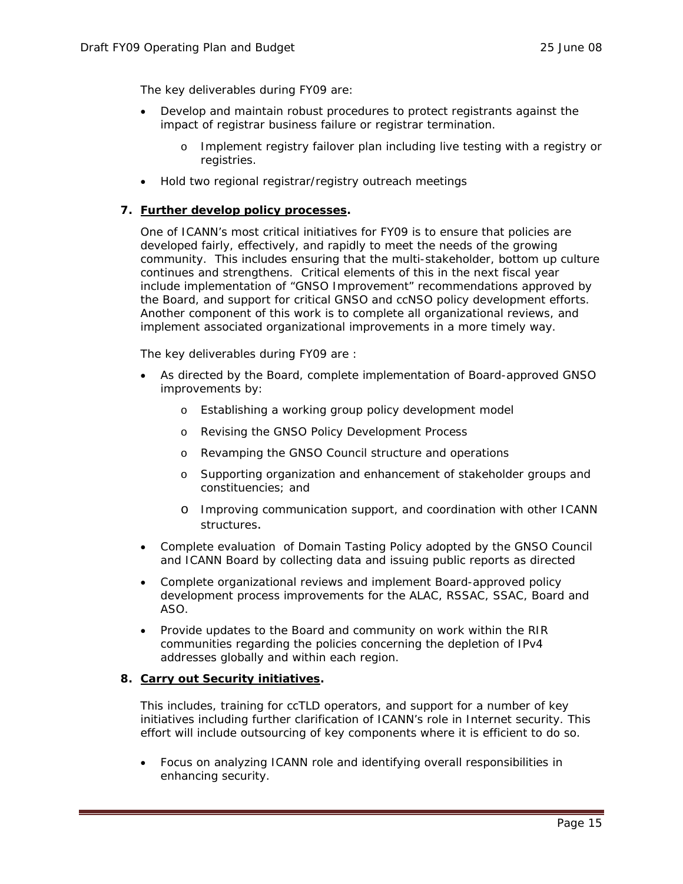The key deliverables during FY09 are:

- Develop and maintain robust procedures to protect registrants against the impact of registrar business failure or registrar termination.
	- o Implement registry failover plan including live testing with a registry or registries.
- Hold two regional registrar/registry outreach meetings

#### **7. Further develop policy processes.**

One of ICANN's most critical initiatives for FY09 is to ensure that policies are developed fairly, effectively, and rapidly to meet the needs of the growing community. This includes ensuring that the multi-stakeholder, bottom up culture continues and strengthens. Critical elements of this in the next fiscal year include implementation of "GNSO Improvement" recommendations approved by the Board, and support for critical GNSO and ccNSO policy development efforts. Another component of this work is to complete all organizational reviews, and implement associated organizational improvements in a more timely way.

The key deliverables during FY09 are :

- As directed by the Board, complete implementation of Board-approved GNSO improvements by:
	- o Establishing a working group policy development model
	- o Revising the GNSO Policy Development Process
	- o Revamping the GNSO Council structure and operations
	- o Supporting organization and enhancement of stakeholder groups and constituencies; and
	- o Improving communication support, and coordination with other ICANN structures.
- Complete evaluation of Domain Tasting Policy adopted by the GNSO Council and ICANN Board by collecting data and issuing public reports as directed
- Complete organizational reviews and implement Board-approved policy development process improvements for the ALAC, RSSAC, SSAC, Board and ASO.
- Provide updates to the Board and community on work within the RIR communities regarding the policies concerning the depletion of IPv4 addresses globally and within each region.

#### **8. Carry out Security initiatives.**

This includes, training for ccTLD operators, and support for a number of key initiatives including further clarification of ICANN's role in Internet security. This effort will include outsourcing of key components where it is efficient to do so.

• Focus on analyzing ICANN role and identifying overall responsibilities in enhancing security.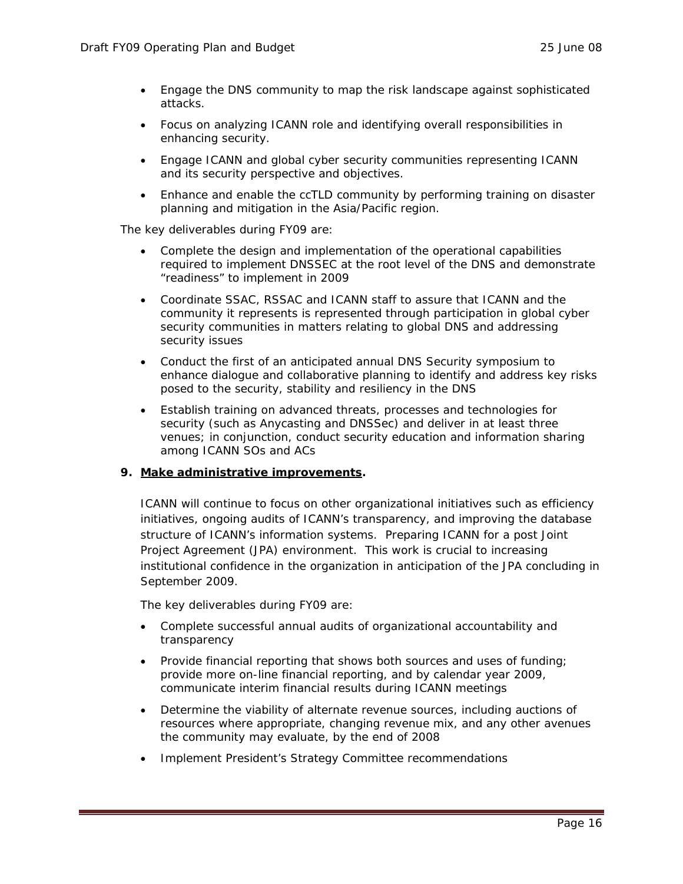- Engage the DNS community to map the risk landscape against sophisticated attacks.
- Focus on analyzing ICANN role and identifying overall responsibilities in enhancing security.
- Engage ICANN and global cyber security communities representing ICANN and its security perspective and objectives.
- Enhance and enable the ccTLD community by performing training on disaster planning and mitigation in the Asia/Pacific region.

The key deliverables during FY09 are:

- Complete the design and implementation of the operational capabilities required to implement DNSSEC at the root level of the DNS and demonstrate "readiness" to implement in 2009
- Coordinate SSAC, RSSAC and ICANN staff to assure that ICANN and the community it represents is represented through participation in global cyber security communities in matters relating to global DNS and addressing security issues
- Conduct the first of an anticipated annual DNS Security symposium to enhance dialogue and collaborative planning to identify and address key risks posed to the security, stability and resiliency in the DNS
- Establish training on advanced threats, processes and technologies for security (such as Anycasting and DNSSec) and deliver in at least three venues; in conjunction, conduct security education and information sharing among ICANN SOs and ACs

### **9. Make administrative improvements.**

ICANN will continue to focus on other organizational initiatives such as efficiency initiatives, ongoing audits of ICANN's transparency, and improving the database structure of ICANN's information systems. Preparing ICANN for a post Joint Project Agreement (JPA) environment. This work is crucial to increasing institutional confidence in the organization in anticipation of the JPA concluding in September 2009.

The key deliverables during FY09 are:

- Complete successful annual audits of organizational accountability and transparency
- Provide financial reporting that shows both sources and uses of funding; provide more on-line financial reporting, and by calendar year 2009, communicate interim financial results during ICANN meetings
- Determine the viability of alternate revenue sources, including auctions of resources where appropriate, changing revenue mix, and any other avenues the community may evaluate, by the end of 2008
- Implement President's Strategy Committee recommendations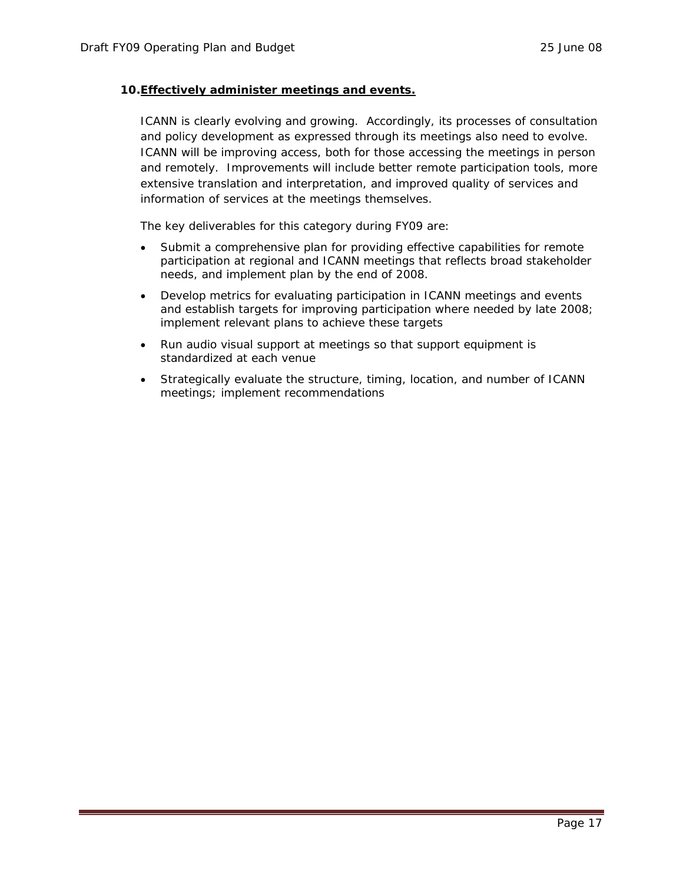### **10.Effectively administer meetings and events.**

ICANN is clearly evolving and growing. Accordingly, its processes of consultation and policy development as expressed through its meetings also need to evolve. ICANN will be improving access, both for those accessing the meetings in person and remotely. Improvements will include better remote participation tools, more extensive translation and interpretation, and improved quality of services and information of services at the meetings themselves.

The key deliverables for this category during FY09 are:

- Submit a comprehensive plan for providing effective capabilities for remote participation at regional and ICANN meetings that reflects broad stakeholder needs, and implement plan by the end of 2008.
- Develop metrics for evaluating participation in ICANN meetings and events and establish targets for improving participation where needed by late 2008; implement relevant plans to achieve these targets
- Run audio visual support at meetings so that support equipment is standardized at each venue
- Strategically evaluate the structure, timing, location, and number of ICANN meetings; implement recommendations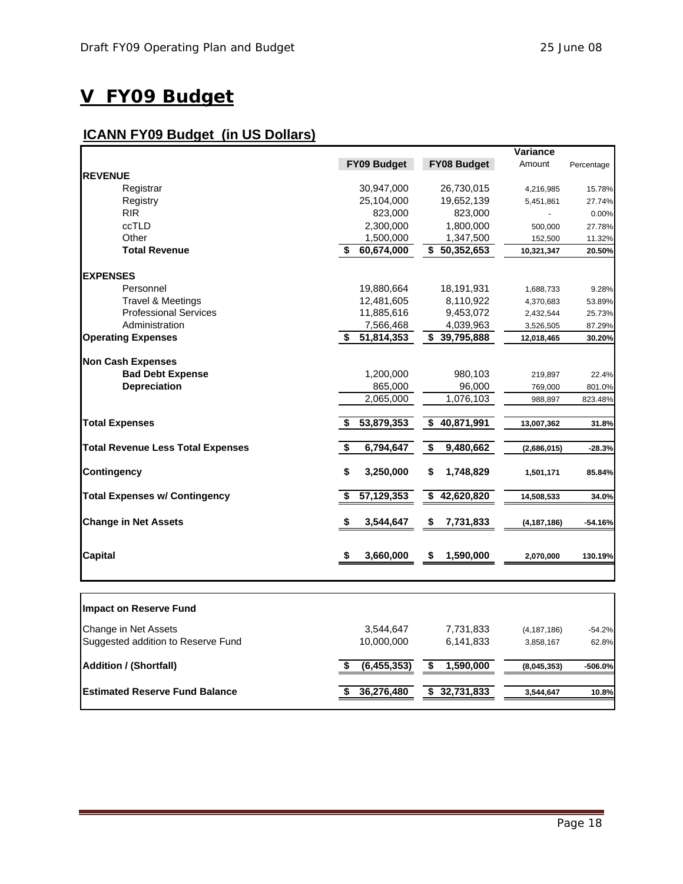## **V FY09 Budget**

### **ICANN FY09 Budget (in US Dollars)**

|                                          |                    |                            | <b>Variance</b> |            |
|------------------------------------------|--------------------|----------------------------|-----------------|------------|
|                                          | <b>FY09 Budget</b> | FY08 Budget                | Amount          | Percentage |
| <b>REVENUE</b>                           |                    |                            |                 |            |
| Registrar                                | 30,947,000         | 26,730,015                 | 4,216,985       | 15.78%     |
| Registry                                 | 25,104,000         | 19,652,139                 | 5,451,861       | 27.74%     |
| <b>RIR</b>                               | 823,000            | 823,000                    |                 | 0.00%      |
| ccTLD                                    | 2,300,000          | 1,800,000                  | 500,000         | 27.78%     |
| Other                                    | 1,500,000          | 1,347,500                  | 152,500         | 11.32%     |
| <b>Total Revenue</b>                     | 60,674,000<br>\$   | \$50,352,653               | 10,321,347      | 20.50%     |
| <b>EXPENSES</b>                          |                    |                            |                 |            |
| Personnel                                | 19,880,664         | 18,191,931                 | 1,688,733       | 9.28%      |
| <b>Travel &amp; Meetings</b>             | 12,481,605         | 8,110,922                  | 4,370,683       | 53.89%     |
| <b>Professional Services</b>             | 11,885,616         | 9,453,072                  | 2,432,544       | 25.73%     |
| Administration                           | 7,566,468          | 4,039,963                  | 3,526,505       | 87.29%     |
| <b>Operating Expenses</b>                | 51,814,353<br>\$   | $\overline{\$}$ 39,795,888 | 12,018,465      | 30.20%     |
|                                          |                    |                            |                 |            |
| <b>Non Cash Expenses</b>                 |                    |                            |                 |            |
| <b>Bad Debt Expense</b>                  | 1,200,000          | 980,103                    | 219,897         | 22.4%      |
| <b>Depreciation</b>                      | 865,000            | 96,000                     | 769,000         | 801.0%     |
|                                          | 2,065,000          | 1,076,103                  | 988,897         | 823.48%    |
| <b>Total Expenses</b>                    | 53,879,353<br>Ŝ.   | 40,871,991<br>\$           | 13,007,362      | 31.8%      |
| <b>Total Revenue Less Total Expenses</b> | \$<br>6,794,647    | \$<br>9,480,662            | (2,686,015)     | $-28.3%$   |
| <b>Contingency</b>                       | \$<br>3,250,000    | 1,748,829<br>\$            | 1,501,171       | 85.84%     |
| <b>Total Expenses w/ Contingency</b>     | 57,129,353<br>\$   | 42,620,820<br>\$           | 14,508,533      | 34.0%      |
| <b>Change in Net Assets</b>              | \$<br>3,544,647    | \$<br>7,731,833            | (4,187,186)     | $-54.16%$  |
| <b>Capital</b>                           | 3,660,000<br>\$    | 1,590,000<br>\$            | 2,070,000       | 130.19%    |
|                                          |                    |                            |                 |            |
| Impact on Reserve Fund                   |                    |                            |                 |            |
| Change in Net Assets                     | 3,544,647          | 7,731,833                  | (4, 187, 186)   | $-54.2%$   |
| Suggested addition to Reserve Fund       | 10,000,000         | 6,141,833                  | 3,858,167       | 62.8%      |

**Addition / (Shortfall)** (6,455,353) **\$ 1,590,000** (8,045,353) -506.0%

**Estimated Reserve Fund Balance** 36,276,480 **\$ 36,276,480 \$ 32,731,833** 3,544,647 10.8%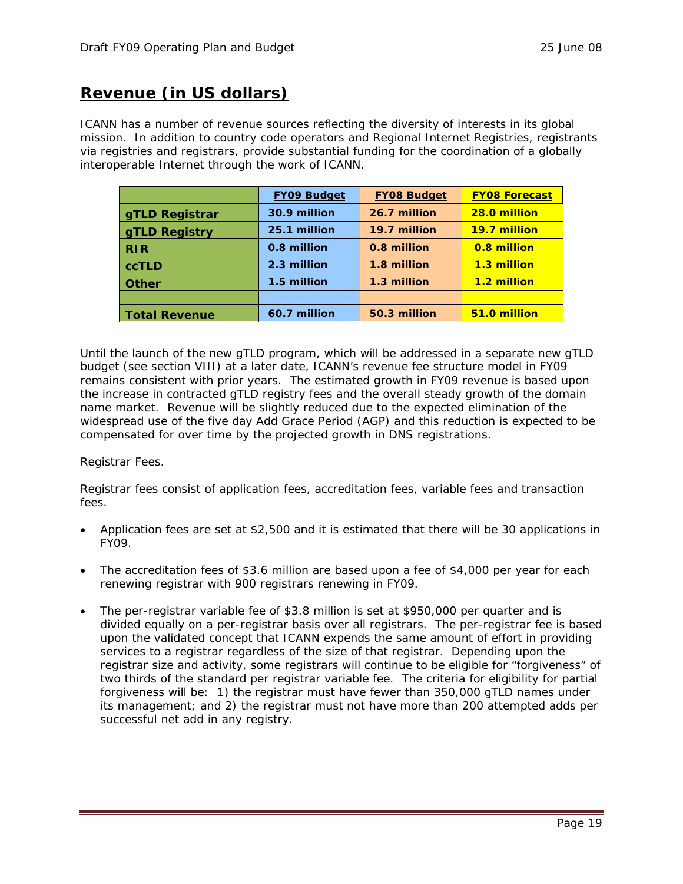### **Revenue (in US dollars)**

ICANN has a number of revenue sources reflecting the diversity of interests in its global mission. In addition to country code operators and Regional Internet Registries, registrants via registries and registrars, provide substantial funding for the coordination of a globally interoperable Internet through the work of ICANN.

|                       | <b>FY09 Budget</b> | <b>FY08 Budget</b> | <b>FY08 Forecast</b> |
|-----------------------|--------------------|--------------------|----------------------|
| <b>gTLD Registrar</b> | 30.9 million       | 26.7 million       | 28.0 million         |
| <b>gTLD Registry</b>  | 25.1 million       | 19.7 million       | 19.7 million         |
| RIR                   | 0.8 million        | 0.8 million        | 0.8 million          |
| <b>ccTLD</b>          | 2.3 million        | 1.8 million        | 1.3 million          |
| <b>Other</b>          | 1.5 million        | 1.3 million        | 1.2 million          |
|                       |                    |                    |                      |
| Total Revenue         | 60.7 million       | 50.3 million       | 51.0 million         |

Until the launch of the new gTLD program, which will be addressed in a separate new gTLD budget (see section VIII) at a later date, ICANN's revenue fee structure model in FY09 remains consistent with prior years. The estimated growth in FY09 revenue is based upon the increase in contracted gTLD registry fees and the overall steady growth of the domain name market. Revenue will be slightly reduced due to the expected elimination of the widespread use of the five day Add Grace Period (AGP) and this reduction is expected to be compensated for over time by the projected growth in DNS registrations.

### Registrar Fees.

Registrar fees consist of application fees, accreditation fees, variable fees and transaction fees.

- Application fees are set at \$2,500 and it is estimated that there will be 30 applications in FY09.
- The accreditation fees of \$3.6 million are based upon a fee of \$4,000 per year for each renewing registrar with 900 registrars renewing in FY09.
- The per-registrar variable fee of \$3.8 million is set at \$950,000 per quarter and is divided equally on a per-registrar basis over all registrars. The per-registrar fee is based upon the validated concept that ICANN expends the same amount of effort in providing services to a registrar regardless of the size of that registrar. Depending upon the registrar size and activity, some registrars will continue to be eligible for "forgiveness" of two thirds of the standard per registrar variable fee. The criteria for eligibility for partial forgiveness will be: 1) the registrar must have fewer than 350,000 gTLD names under its management; and 2) the registrar must not have more than 200 attempted adds per successful net add in any registry.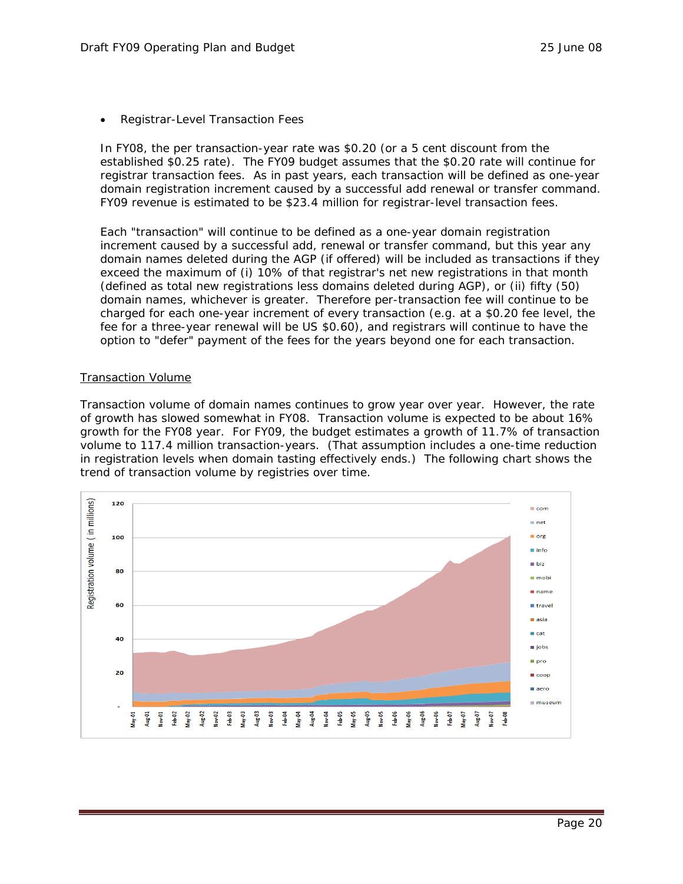• Registrar-Level Transaction Fees

In FY08, the per transaction-year rate was \$0.20 (or a 5 cent discount from the established \$0.25 rate). The FY09 budget assumes that the \$0.20 rate will continue for registrar transaction fees. As in past years, each transaction will be defined as one-year domain registration increment caused by a successful add renewal or transfer command. FY09 revenue is estimated to be \$23.4 million for registrar-level transaction fees.

Each "transaction" will continue to be defined as a one-year domain registration increment caused by a successful add, renewal or transfer command, but this year any domain names deleted during the AGP (if offered) will be included as transactions if they exceed the maximum of (i) 10% of that registrar's net new registrations in that month (defined as total new registrations less domains deleted during AGP), or (ii) fifty (50) domain names, whichever is greater. Therefore per-transaction fee will continue to be charged for each one-year increment of every transaction (e.g. at a \$0.20 fee level, the fee for a three-year renewal will be US \$0.60), and registrars will continue to have the option to "defer" payment of the fees for the years beyond one for each transaction.

#### Transaction Volume

Transaction volume of domain names continues to grow year over year. However, the rate of growth has slowed somewhat in FY08. Transaction volume is expected to be about 16% growth for the FY08 year. For FY09, the budget estimates a growth of 11.7% of transaction volume to 117.4 million transaction-years. (That assumption includes a one-time reduction in registration levels when domain tasting effectively ends.) The following chart shows the trend of transaction volume by registries over time.

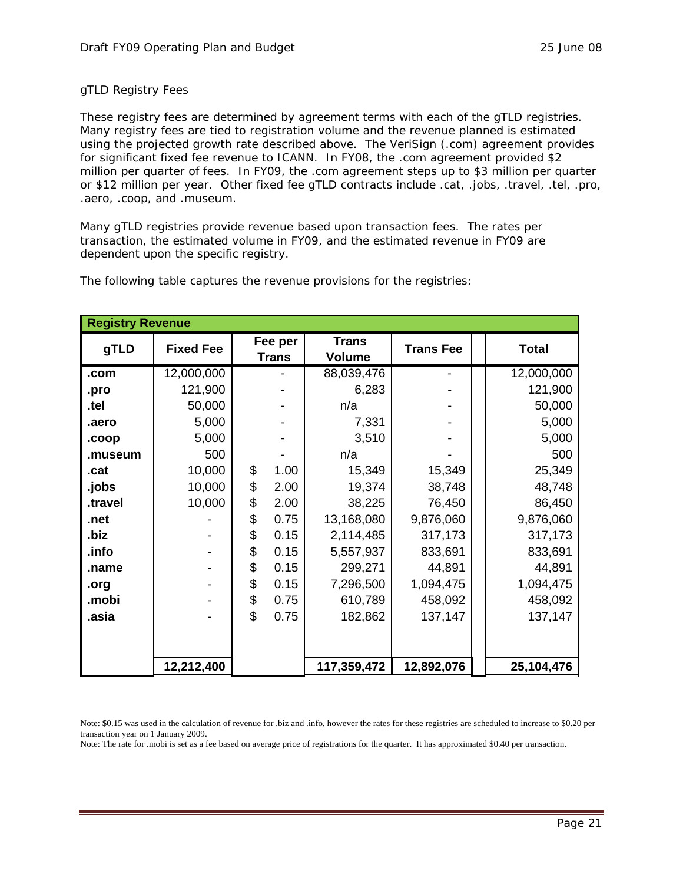### gTLD Registry Fees

These registry fees are determined by agreement terms with each of the gTLD registries. Many registry fees are tied to registration volume and the revenue planned is estimated using the projected growth rate described above. The VeriSign (.com) agreement provides for significant fixed fee revenue to ICANN. In FY08, the .com agreement provided \$2 million per quarter of fees. In FY09, the .com agreement steps up to \$3 million per quarter or \$12 million per year. Other fixed fee gTLD contracts include .cat, .jobs, .travel, .tel, .pro, .aero, .coop, and .museum.

Many gTLD registries provide revenue based upon transaction fees. The rates per transaction, the estimated volume in FY09, and the estimated revenue in FY09 are dependent upon the specific registry.

| <b>Registry Revenue</b> |                  |    |                         |                               |                  |              |
|-------------------------|------------------|----|-------------------------|-------------------------------|------------------|--------------|
| gTLD                    | <b>Fixed Fee</b> |    | Fee per<br><b>Trans</b> | <b>Trans</b><br><b>Volume</b> | <b>Trans Fee</b> | <b>Total</b> |
| .com                    | 12,000,000       |    |                         | 88,039,476                    |                  | 12,000,000   |
| .pro                    | 121,900          |    |                         | 6,283                         |                  | 121,900      |
| .tel                    | 50,000           |    |                         | n/a                           |                  | 50,000       |
| .aero                   | 5,000            |    |                         | 7,331                         |                  | 5,000        |
| .coop                   | 5,000            |    |                         | 3,510                         |                  | 5,000        |
| .museum                 | 500              |    |                         | n/a                           |                  | 500          |
| .cat                    | 10,000           | \$ | 1.00                    | 15,349                        | 15,349           | 25,349       |
| .jobs                   | 10,000           | \$ | 2.00                    | 19,374                        | 38,748           | 48,748       |
| .travel                 | 10,000           | \$ | 2.00                    | 38,225                        | 76,450           | 86,450       |
| .net                    |                  | \$ | 0.75                    | 13,168,080                    | 9,876,060        | 9,876,060    |
| .biz                    |                  | \$ | 0.15                    | 2,114,485                     | 317,173          | 317,173      |
| .info                   |                  | \$ | 0.15                    | 5,557,937                     | 833,691          | 833,691      |
| .name                   |                  | \$ | 0.15                    | 299,271                       | 44,891           | 44,891       |
| .org                    |                  | \$ | 0.15                    | 7,296,500                     | 1,094,475        | 1,094,475    |
| .mobi                   |                  | \$ | 0.75                    | 610,789                       | 458,092          | 458,092      |
| .asia                   |                  | \$ | 0.75                    | 182,862                       | 137,147          | 137,147      |
|                         |                  |    |                         |                               |                  |              |
|                         | 12,212,400       |    |                         | 117,359,472                   | 12,892,076       | 25,104,476   |

The following table captures the revenue provisions for the registries:

Note: \$0.15 was used in the calculation of revenue for .biz and .info, however the rates for these registries are scheduled to increase to \$0.20 per transaction year on 1 January 2009.

Note: The rate for .mobi is set as a fee based on average price of registrations for the quarter. It has approximated \$0.40 per transaction.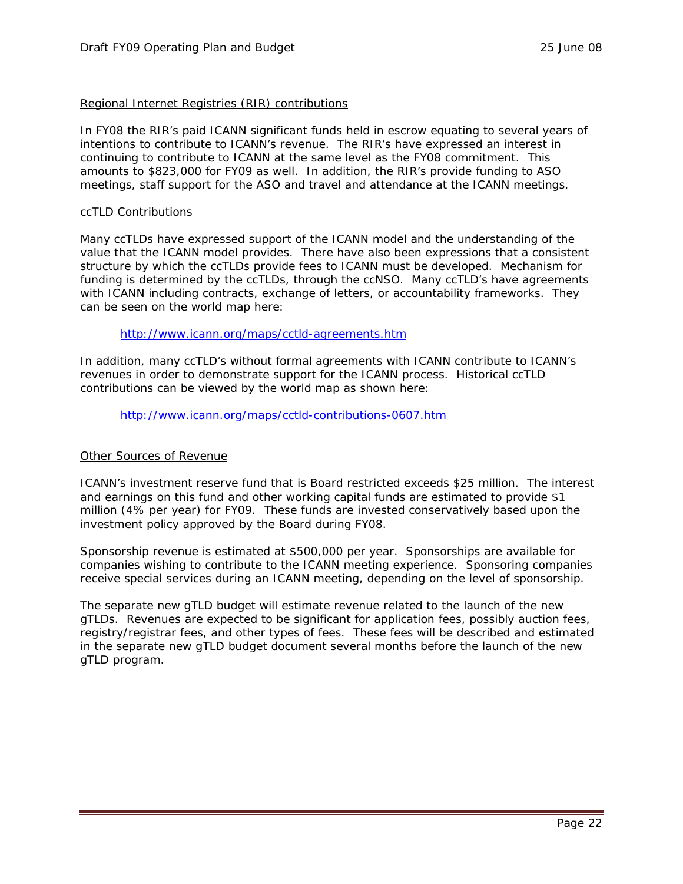### Regional Internet Registries (RIR) contributions

In FY08 the RIR's paid ICANN significant funds held in escrow equating to several years of intentions to contribute to ICANN's revenue. The RIR's have expressed an interest in continuing to contribute to ICANN at the same level as the FY08 commitment. This amounts to \$823,000 for FY09 as well. In addition, the RIR's provide funding to ASO meetings, staff support for the ASO and travel and attendance at the ICANN meetings.

#### ccTLD Contributions

Many ccTLDs have expressed support of the ICANN model and the understanding of the value that the ICANN model provides. There have also been expressions that a consistent structure by which the ccTLDs provide fees to ICANN must be developed. Mechanism for funding is determined by the ccTLDs, through the ccNSO. Many ccTLD's have agreements with ICANN including contracts, exchange of letters, or accountability frameworks. They can be seen on the world map here:

### http://www.icann.org/maps/cctld-agreements.htm

In addition, many ccTLD's without formal agreements with ICANN contribute to ICANN's revenues in order to demonstrate support for the ICANN process. Historical ccTLD contributions can be viewed by the world map as shown here:

http://www.icann.org/maps/cctld-contributions-0607.htm

### Other Sources of Revenue

ICANN's investment reserve fund that is Board restricted exceeds \$25 million. The interest and earnings on this fund and other working capital funds are estimated to provide \$1 million (4% per year) for FY09. These funds are invested conservatively based upon the investment policy approved by the Board during FY08.

Sponsorship revenue is estimated at \$500,000 per year. Sponsorships are available for companies wishing to contribute to the ICANN meeting experience. Sponsoring companies receive special services during an ICANN meeting, depending on the level of sponsorship.

The separate new gTLD budget will estimate revenue related to the launch of the new gTLDs. Revenues are expected to be significant for application fees, possibly auction fees, registry/registrar fees, and other types of fees. These fees will be described and estimated in the separate new gTLD budget document several months before the launch of the new gTLD program.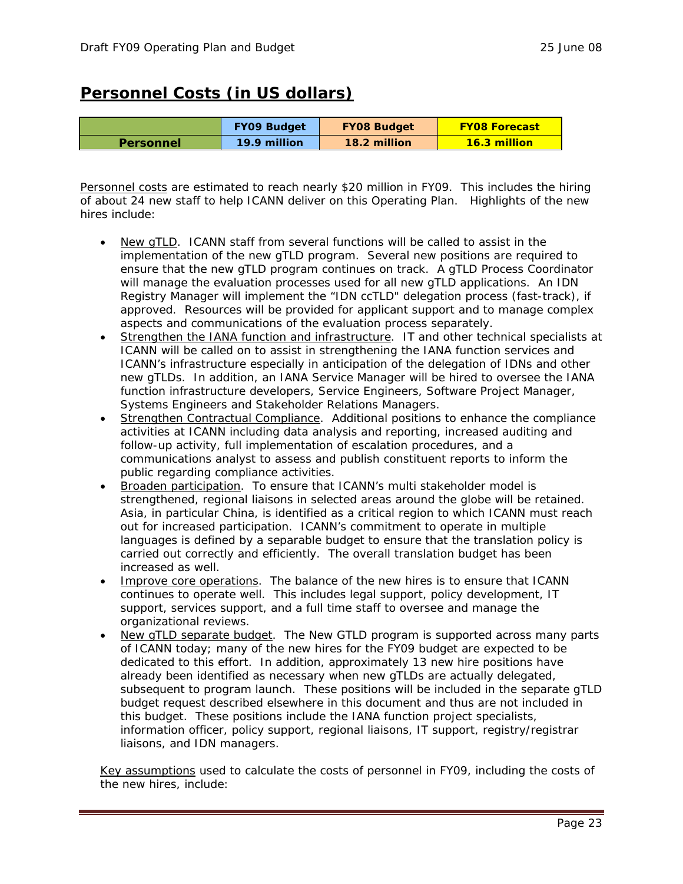### **Personnel Costs (in US dollars)**

|                  | <b>FY09 Budget</b> | <b>FY08 Budget</b> | <b>FY08 Forecast</b> |
|------------------|--------------------|--------------------|----------------------|
| <b>Personnel</b> | 19.9 million       | 18.2 million       | <b>16.3 million</b>  |

Personnel costs are estimated to reach nearly \$20 million in FY09. This includes the hiring of about 24 new staff to help ICANN deliver on this Operating Plan. Highlights of the new hires include:

- New gTLD. ICANN staff from several functions will be called to assist in the implementation of the new gTLD program. Several new positions are required to ensure that the new gTLD program continues on track. A gTLD Process Coordinator will manage the evaluation processes used for all new gTLD applications. An IDN Registry Manager will implement the "IDN ccTLD" delegation process (fast-track), if approved. Resources will be provided for applicant support and to manage complex aspects and communications of the evaluation process separately.
- Strengthen the IANA function and infrastructure. IT and other technical specialists at ICANN will be called on to assist in strengthening the IANA function services and ICANN's infrastructure especially in anticipation of the delegation of IDNs and other new gTLDs. In addition, an IANA Service Manager will be hired to oversee the IANA function infrastructure developers, Service Engineers, Software Project Manager, Systems Engineers and Stakeholder Relations Managers.
- Strengthen Contractual Compliance. Additional positions to enhance the compliance activities at ICANN including data analysis and reporting, increased auditing and follow-up activity, full implementation of escalation procedures, and a communications analyst to assess and publish constituent reports to inform the public regarding compliance activities.
- Broaden participation. To ensure that ICANN's multi stakeholder model is strengthened, regional liaisons in selected areas around the globe will be retained. Asia, in particular China, is identified as a critical region to which ICANN must reach out for increased participation. ICANN's commitment to operate in multiple languages is defined by a separable budget to ensure that the translation policy is carried out correctly and efficiently. The overall translation budget has been increased as well.
- Improve core operations. The balance of the new hires is to ensure that ICANN continues to operate well. This includes legal support, policy development, IT support, services support, and a full time staff to oversee and manage the organizational reviews.
- New gTLD separate budget. The New GTLD program is supported across many parts of ICANN today; many of the new hires for the FY09 budget are expected to be dedicated to this effort. In addition, approximately 13 new hire positions have already been identified as necessary when new gTLDs are actually delegated, subsequent to program launch. These positions will be included in the separate gTLD budget request described elsewhere in this document and thus are not included in this budget. These positions include the IANA function project specialists, information officer, policy support, regional liaisons, IT support, registry/registrar liaisons, and IDN managers.

Key assumptions used to calculate the costs of personnel in FY09, including the costs of the new hires, include: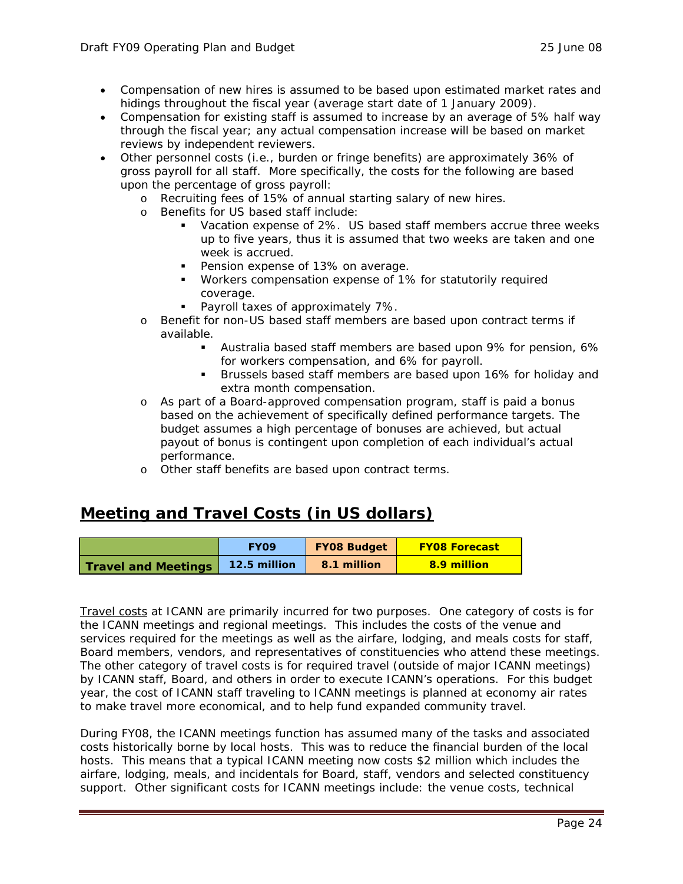- Compensation of new hires is assumed to be based upon estimated market rates and hidings throughout the fiscal year (average start date of 1 January 2009).
- Compensation for existing staff is assumed to increase by an average of 5% half way through the fiscal year; any actual compensation increase will be based on market reviews by independent reviewers.
- Other personnel costs (i.e., burden or fringe benefits) are approximately 36% of gross payroll for all staff. More specifically, the costs for the following are based upon the percentage of gross payroll:
	- o Recruiting fees of 15% of annual starting salary of new hires.
	- o Benefits for US based staff include:
		- Vacation expense of 2%. US based staff members accrue three weeks up to five years, thus it is assumed that two weeks are taken and one week is accrued.
		- **Pension expense of 13% on average.**
		- Workers compensation expense of 1% for statutorily required coverage.
		- **Payroll taxes of approximately 7%.**
	- o Benefit for non-US based staff members are based upon contract terms if available.
		- Australia based staff members are based upon 9% for pension, 6% for workers compensation, and 6% for payroll.
		- **Brussels based staff members are based upon 16% for holiday and** extra month compensation.
	- o As part of a Board-approved compensation program, staff is paid a bonus based on the achievement of specifically defined performance targets. The budget assumes a high percentage of bonuses are achieved, but actual payout of bonus is contingent upon completion of each individual's actual performance.
	- o Other staff benefits are based upon contract terms.

### **Meeting and Travel Costs (in US dollars)**

|                            | <b>FYO9</b>  | <b>FY08 Budget</b> | <b>FY08 Forecast</b> |
|----------------------------|--------------|--------------------|----------------------|
| <b>Travel and Meetings</b> | 12.5 million | 8.1 million        | 8.9 million          |

Travel costs at ICANN are primarily incurred for two purposes. One category of costs is for the ICANN meetings and regional meetings. This includes the costs of the venue and services required for the meetings as well as the airfare, lodging, and meals costs for staff, Board members, vendors, and representatives of constituencies who attend these meetings. The other category of travel costs is for required travel (outside of major ICANN meetings) by ICANN staff, Board, and others in order to execute ICANN's operations. For this budget year, the cost of ICANN staff traveling to ICANN meetings is planned at economy air rates to make travel more economical, and to help fund expanded community travel.

During FY08, the ICANN meetings function has assumed many of the tasks and associated costs historically borne by local hosts. This was to reduce the financial burden of the local hosts. This means that a typical ICANN meeting now costs \$2 million which includes the airfare, lodging, meals, and incidentals for Board, staff, vendors and selected constituency support. Other significant costs for ICANN meetings include: the venue costs, technical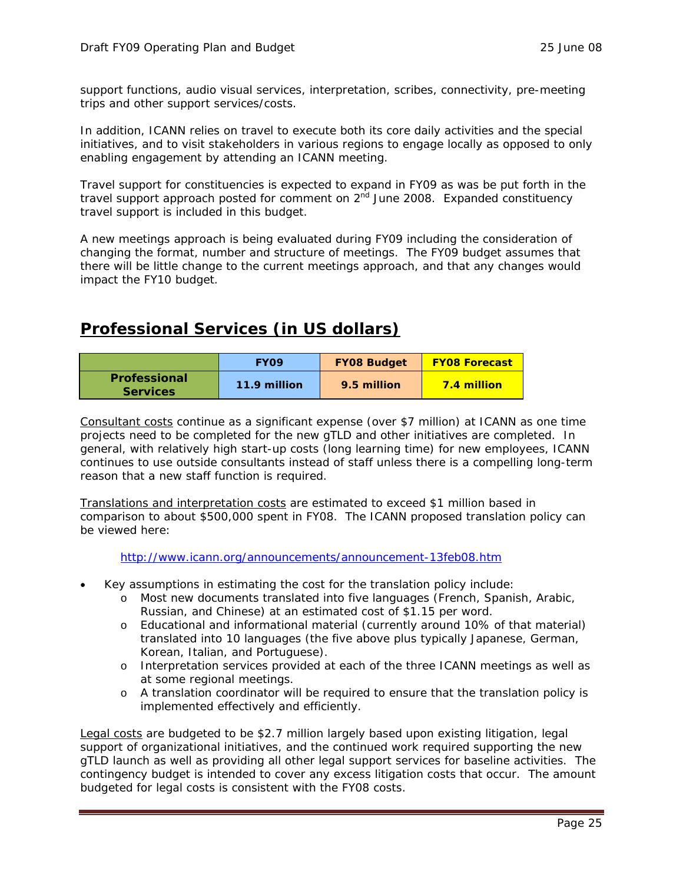support functions, audio visual services, interpretation, scribes, connectivity, pre-meeting trips and other support services/costs.

In addition, ICANN relies on travel to execute both its core daily activities and the special initiatives, and to visit stakeholders in various regions to engage locally as opposed to only enabling engagement by attending an ICANN meeting.

Travel support for constituencies is expected to expand in FY09 as was be put forth in the travel support approach posted for comment on  $2<sup>nd</sup>$  June 2008. Expanded constituency travel support is included in this budget.

A new meetings approach is being evaluated during FY09 including the consideration of changing the format, number and structure of meetings. The FY09 budget assumes that there will be little change to the current meetings approach, and that any changes would impact the FY10 budget.

### **Professional Services (in US dollars)**

|                                 | <b>EYO9</b>  | <b>FY08 Budget</b> | <b>FY08 Forecast</b> |
|---------------------------------|--------------|--------------------|----------------------|
| Professional<br><b>Services</b> | 11.9 million | 9.5 million        | <b>7.4 million</b>   |

Consultant costs continue as a significant expense (over \$7 million) at ICANN as one time projects need to be completed for the new gTLD and other initiatives are completed. In general, with relatively high start-up costs (long learning time) for new employees, ICANN continues to use outside consultants instead of staff unless there is a compelling long-term reason that a new staff function is required.

Translations and interpretation costs are estimated to exceed \$1 million based in comparison to about \$500,000 spent in FY08. The ICANN proposed translation policy can be viewed here:

http://www.icann.org/announcements/announcement-13feb08.htm

- Key assumptions in estimating the cost for the translation policy include:
	- o Most new documents translated into five languages (French, Spanish, Arabic, Russian, and Chinese) at an estimated cost of \$1.15 per word.
	- o Educational and informational material (currently around 10% of that material) translated into 10 languages (the five above plus typically Japanese, German, Korean, Italian, and Portuguese).
	- o Interpretation services provided at each of the three ICANN meetings as well as at some regional meetings.
	- o A translation coordinator will be required to ensure that the translation policy is implemented effectively and efficiently.

Legal costs are budgeted to be \$2.7 million largely based upon existing litigation, legal support of organizational initiatives, and the continued work required supporting the new gTLD launch as well as providing all other legal support services for baseline activities. The contingency budget is intended to cover any excess litigation costs that occur. The amount budgeted for legal costs is consistent with the FY08 costs.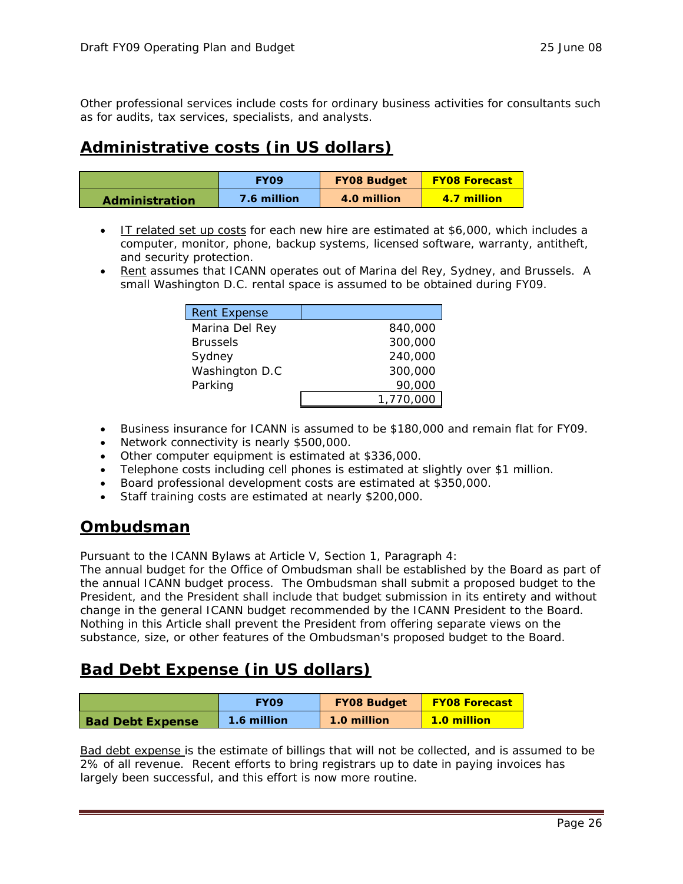Other professional services include costs for ordinary business activities for consultants such as for audits, tax services, specialists, and analysts.

### **Administrative costs (in US dollars)**

|                       | <b>FYO9</b> | <b>FY08 Budget</b> | <b>FY08 Forecast</b> |
|-----------------------|-------------|--------------------|----------------------|
| <b>Administration</b> | 7.6 million | 4.0 million        | 4.7 million          |

- IT related set up costs for each new hire are estimated at \$6,000, which includes a computer, monitor, phone, backup systems, licensed software, warranty, antitheft, and security protection.
- Rent assumes that ICANN operates out of Marina del Rey, Sydney, and Brussels. A small Washington D.C. rental space is assumed to be obtained during FY09.

| <b>Rent Expense</b> |           |
|---------------------|-----------|
| Marina Del Rey      | 840,000   |
| <b>Brussels</b>     | 300,000   |
| Sydney              | 240,000   |
| Washington D.C      | 300,000   |
| Parking             | 90,000    |
|                     | 1,770,000 |

- Business insurance for ICANN is assumed to be \$180,000 and remain flat for FY09.
- Network connectivity is nearly \$500,000.
- Other computer equipment is estimated at \$336,000.
- Telephone costs including cell phones is estimated at slightly over \$1 million.
- Board professional development costs are estimated at \$350,000.
- Staff training costs are estimated at nearly \$200,000.

### **Ombudsman**

Pursuant to the ICANN Bylaws at Article V, Section 1, Paragraph 4:

The annual budget for the Office of Ombudsman shall be established by the Board as part of the annual ICANN budget process. The Ombudsman shall submit a proposed budget to the President, and the President shall include that budget submission in its entirety and without change in the general ICANN budget recommended by the ICANN President to the Board. Nothing in this Article shall prevent the President from offering separate views on the substance, size, or other features of the Ombudsman's proposed budget to the Board.

### **Bad Debt Expense (in US dollars)**

|                         | <b>FYO9</b> | <b>FY08 Budget</b> | <b>FY08 Forecast</b> |
|-------------------------|-------------|--------------------|----------------------|
| <b>Bad Debt Expense</b> | 1.6 million | 1.0 million        | <b>1.0 million</b>   |

Bad debt expense is the estimate of billings that will not be collected, and is assumed to be 2% of all revenue. Recent efforts to bring registrars up to date in paying invoices has largely been successful, and this effort is now more routine.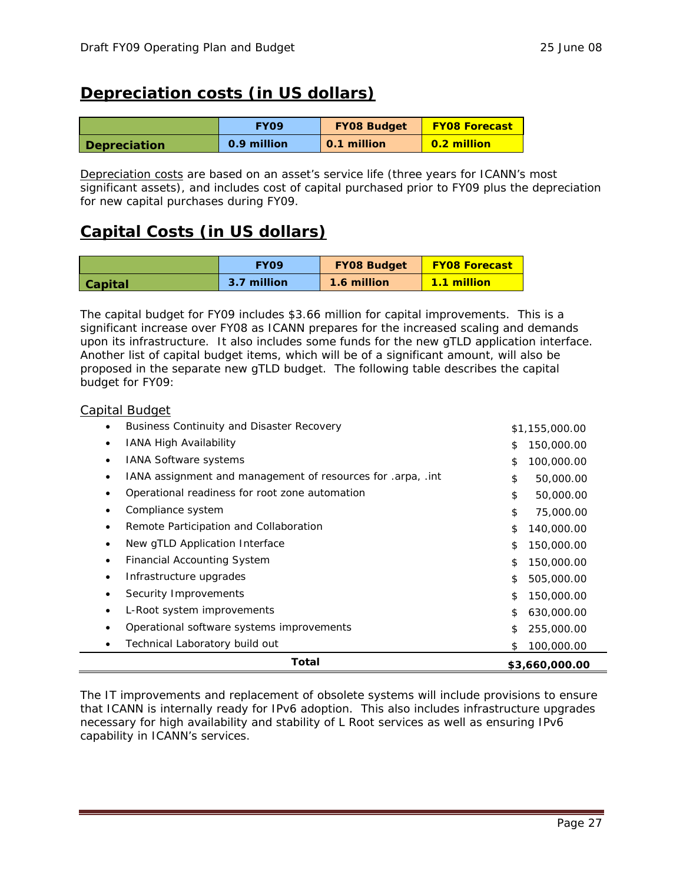### **Depreciation costs (in US dollars)**

|                     | <b>FYO9</b> | <b>FY08 Budget</b> | <b>FY08 Forecast</b> |
|---------------------|-------------|--------------------|----------------------|
| <b>Depreciation</b> | 0.9 million | 0.1 million        | 0.2 million          |

Depreciation costs are based on an asset's service life (three years for ICANN's most significant assets), and includes cost of capital purchased prior to FY09 plus the depreciation for new capital purchases during FY09.

### **Capital Costs (in US dollars)**

|                | <b>EVO9</b> | <b>FY08 Budget</b> | <b>FY08 Forecast</b> |  |
|----------------|-------------|--------------------|----------------------|--|
| <b>Capital</b> | 3.7 million | 1.6 million        | <b>1.1 million</b>   |  |

The capital budget for FY09 includes \$3.66 million for capital improvements. This is a significant increase over FY08 as ICANN prepares for the increased scaling and demands upon its infrastructure. It also includes some funds for the new gTLD application interface. Another list of capital budget items, which will be of a significant amount, will also be proposed in the separate new gTLD budget. The following table describes the capital budget for FY09:

### Capital Budget

| <b>Business Continuity and Disaster Recovery</b>            | \$1,155,000.00   |
|-------------------------------------------------------------|------------------|
| <b>IANA High Availability</b>                               | 150,000.00<br>\$ |
| <b>IANA Software systems</b>                                | \$<br>100,000.00 |
| IANA assignment and management of resources for .arpa, .int | \$<br>50,000.00  |
| Operational readiness for root zone automation              | \$<br>50,000.00  |
| Compliance system                                           | \$<br>75,000.00  |
| Remote Participation and Collaboration                      | \$<br>140,000.00 |
| New gTLD Application Interface                              | 150,000.00<br>\$ |
| <b>Financial Accounting System</b>                          | \$<br>150,000.00 |
| Infrastructure upgrades                                     | \$<br>505,000.00 |
| Security Improvements                                       | \$<br>150,000.00 |
| L-Root system improvements                                  | \$<br>630,000.00 |
| Operational software systems improvements                   | 255,000.00<br>\$ |
| Technical Laboratory build out                              | 100,000.00<br>\$ |
| Total                                                       | \$3,660,000.00   |

The IT improvements and replacement of obsolete systems will include provisions to ensure that ICANN is internally ready for IPv6 adoption. This also includes infrastructure upgrades necessary for high availability and stability of L Root services as well as ensuring IPv6 capability in ICANN's services.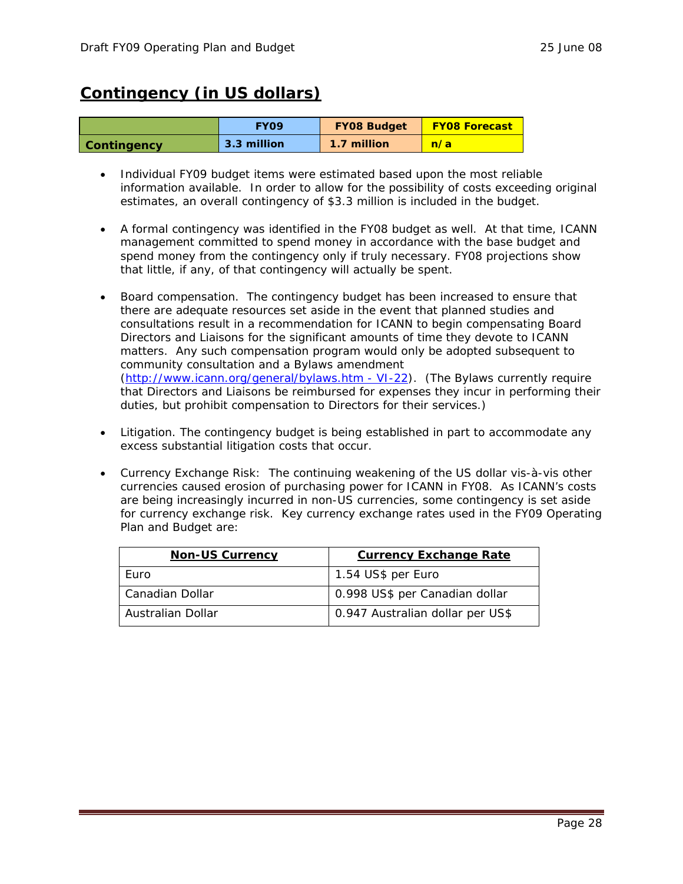### **Contingency (in US dollars)**

|                    | <b>EYO9</b> | <b>FY08 Budget</b> | <b>FY08 Forecast</b> |  |
|--------------------|-------------|--------------------|----------------------|--|
| <b>Contingency</b> | 3.3 million | 1.7 million        | n/a                  |  |

- Individual FY09 budget items were estimated based upon the most reliable information available. In order to allow for the possibility of costs exceeding original estimates, an overall contingency of \$3.3 million is included in the budget.
- A formal contingency was identified in the FY08 budget as well. At that time, ICANN management committed to spend money in accordance with the base budget and spend money from the contingency only if truly necessary. FY08 projections show that little, if any, of that contingency will actually be spent.
- Board compensation. The contingency budget has been increased to ensure that there are adequate resources set aside in the event that planned studies and consultations result in a recommendation for ICANN to begin compensating Board Directors and Liaisons for the significant amounts of time they devote to ICANN matters. Any such compensation program would only be adopted subsequent to community consultation and a Bylaws amendment (http://www.icann.org/general/bylaws.htm - VI-22). (The Bylaws currently require that Directors and Liaisons be reimbursed for expenses they incur in performing their duties, but prohibit compensation to Directors for their services.)
- Litigation. The contingency budget is being established in part to accommodate any excess substantial litigation costs that occur.
- Currency Exchange Risk: The continuing weakening of the US dollar vis-à-vis other currencies caused erosion of purchasing power for ICANN in FY08. As ICANN's costs are being increasingly incurred in non-US currencies, some contingency is set aside for currency exchange risk. Key currency exchange rates used in the FY09 Operating Plan and Budget are:

| <b>Non-US Currency</b> | <b>Currency Exchange Rate</b>    |  |  |
|------------------------|----------------------------------|--|--|
| Euro                   | 1.54 US\$ per Euro               |  |  |
| Canadian Dollar        | 0.998 US\$ per Canadian dollar   |  |  |
| Australian Dollar      | 0.947 Australian dollar per US\$ |  |  |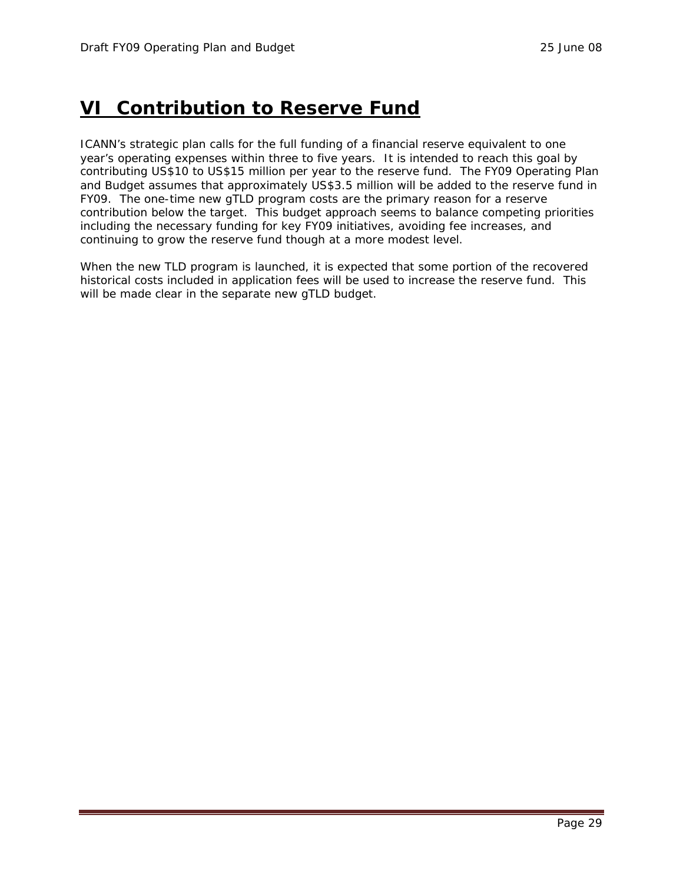## **VI Contribution to Reserve Fund**

ICANN's strategic plan calls for the full funding of a financial reserve equivalent to one year's operating expenses within three to five years. It is intended to reach this goal by contributing US\$10 to US\$15 million per year to the reserve fund. The FY09 Operating Plan and Budget assumes that approximately US\$3.5 million will be added to the reserve fund in FY09. The one-time new gTLD program costs are the primary reason for a reserve contribution below the target. This budget approach seems to balance competing priorities including the necessary funding for key FY09 initiatives, avoiding fee increases, and continuing to grow the reserve fund though at a more modest level.

When the new TLD program is launched, it is expected that some portion of the recovered historical costs included in application fees will be used to increase the reserve fund. This will be made clear in the separate new gTLD budget.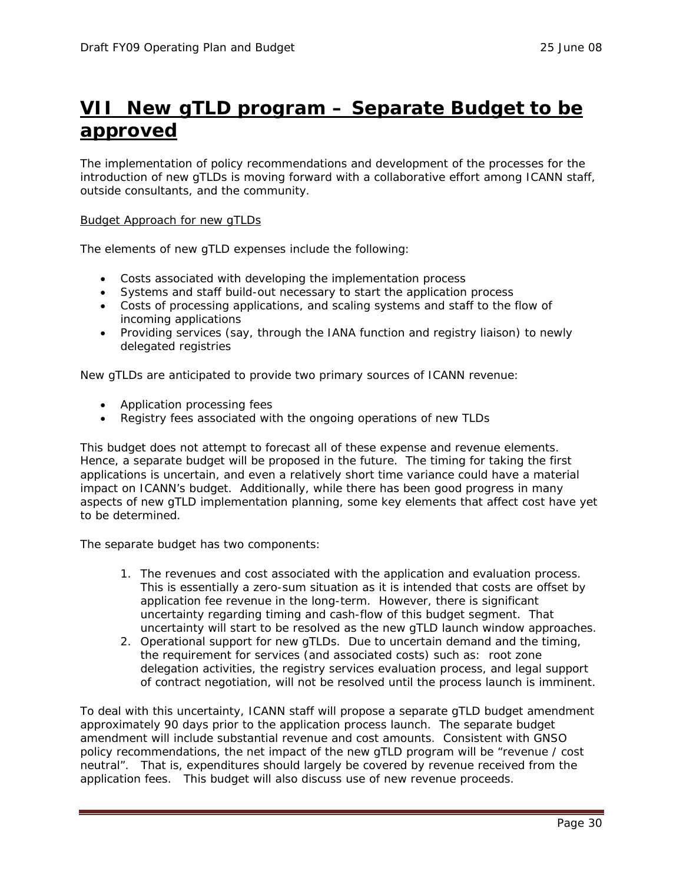## **VII New gTLD program – Separate Budget to be approved**

The implementation of policy recommendations and development of the processes for the introduction of new gTLDs is moving forward with a collaborative effort among ICANN staff, outside consultants, and the community.

### Budget Approach for new gTLDs

The elements of new gTLD expenses include the following:

- Costs associated with developing the implementation process
- Systems and staff build-out necessary to start the application process
- Costs of processing applications, and scaling systems and staff to the flow of incoming applications
- Providing services (say, through the IANA function and registry liaison) to newly delegated registries

New gTLDs are anticipated to provide two primary sources of ICANN revenue:

- Application processing fees
- Registry fees associated with the ongoing operations of new TLDs

This budget does not attempt to forecast all of these expense and revenue elements. Hence, a separate budget will be proposed in the future. The timing for taking the first applications is uncertain, and even a relatively short time variance could have a material impact on ICANN's budget. Additionally, while there has been good progress in many aspects of new gTLD implementation planning, some key elements that affect cost have yet to be determined.

The separate budget has two components:

- 1. The revenues and cost associated with the application and evaluation process. This is essentially a zero-sum situation as it is intended that costs are offset by application fee revenue in the long-term. However, there is significant uncertainty regarding timing and cash-flow of this budget segment. That uncertainty will start to be resolved as the new gTLD launch window approaches.
- 2. Operational support for new gTLDs. Due to uncertain demand and the timing, the requirement for services (and associated costs) such as: root zone delegation activities, the registry services evaluation process, and legal support of contract negotiation, will not be resolved until the process launch is imminent.

To deal with this uncertainty, ICANN staff will propose a separate gTLD budget amendment approximately 90 days prior to the application process launch. The separate budget amendment will include substantial revenue and cost amounts. Consistent with GNSO policy recommendations, the net impact of the new gTLD program will be "revenue / cost neutral". That is, expenditures should largely be covered by revenue received from the application fees. This budget will also discuss use of new revenue proceeds.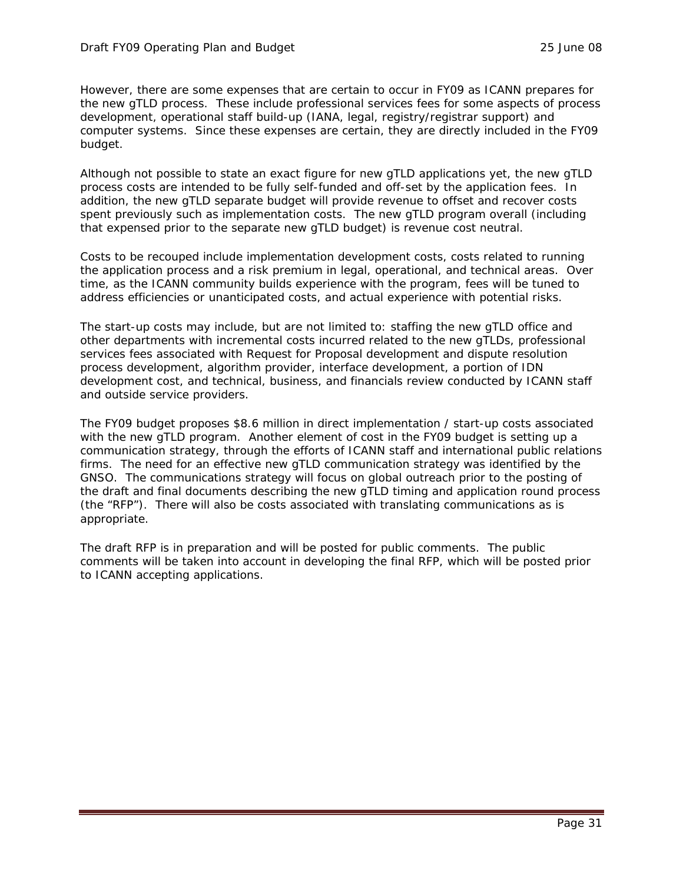However, there are some expenses that are certain to occur in FY09 as ICANN prepares for the new gTLD process. These include professional services fees for some aspects of process development, operational staff build-up (IANA, legal, registry/registrar support) and computer systems. Since these expenses are certain, they are directly included in the FY09 budget.

Although not possible to state an exact figure for new gTLD applications yet, the new gTLD process costs are intended to be fully self-funded and off-set by the application fees. In addition, the new gTLD separate budget will provide revenue to offset and recover costs spent previously such as implementation costs. The new gTLD program overall (including that expensed prior to the separate new gTLD budget) is revenue cost neutral.

Costs to be recouped include implementation development costs, costs related to running the application process and a risk premium in legal, operational, and technical areas. Over time, as the ICANN community builds experience with the program, fees will be tuned to address efficiencies or unanticipated costs, and actual experience with potential risks.

The start-up costs may include, but are not limited to: staffing the new gTLD office and other departments with incremental costs incurred related to the new gTLDs, professional services fees associated with Request for Proposal development and dispute resolution process development, algorithm provider, interface development, a portion of IDN development cost, and technical, business, and financials review conducted by ICANN staff and outside service providers.

The FY09 budget proposes \$8.6 million in direct implementation / start-up costs associated with the new gTLD program. Another element of cost in the FY09 budget is setting up a communication strategy, through the efforts of ICANN staff and international public relations firms. The need for an effective new gTLD communication strategy was identified by the GNSO. The communications strategy will focus on global outreach prior to the posting of the draft and final documents describing the new gTLD timing and application round process (the "RFP"). There will also be costs associated with translating communications as is appropriate.

The draft RFP is in preparation and will be posted for public comments. The public comments will be taken into account in developing the final RFP, which will be posted prior to ICANN accepting applications.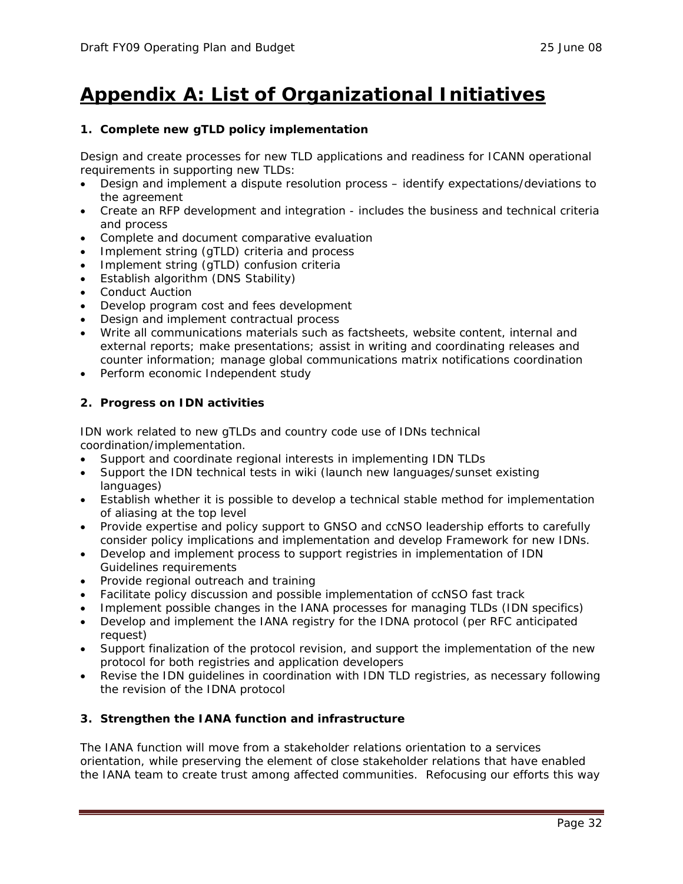## **Appendix A: List of Organizational Initiatives**

### **1. Complete new gTLD policy implementation**

Design and create processes for new TLD applications and readiness for ICANN operational requirements in supporting new TLDs:

- Design and implement a dispute resolution process identify expectations/deviations to the agreement
- Create an RFP development and integration includes the business and technical criteria and process
- Complete and document comparative evaluation
- Implement string (gTLD) criteria and process
- Implement string (gTLD) confusion criteria
- Establish algorithm (DNS Stability)
- **Conduct Auction**
- Develop program cost and fees development
- Design and implement contractual process
- Write all communications materials such as factsheets, website content, internal and external reports; make presentations; assist in writing and coordinating releases and counter information; manage global communications matrix notifications coordination
- Perform economic Independent study

### **2. Progress on IDN activities**

IDN work related to new gTLDs and country code use of IDNs technical coordination/implementation.

- Support and coordinate regional interests in implementing IDN TLDs
- Support the IDN technical tests in wiki (launch new languages/sunset existing languages)
- Establish whether it is possible to develop a technical stable method for implementation of aliasing at the top level
- Provide expertise and policy support to GNSO and ccNSO leadership efforts to carefully consider policy implications and implementation and develop Framework for new IDNs.
- Develop and implement process to support registries in implementation of IDN Guidelines requirements
- Provide regional outreach and training
- Facilitate policy discussion and possible implementation of ccNSO fast track
- Implement possible changes in the IANA processes for managing TLDs (IDN specifics)
- Develop and implement the IANA registry for the IDNA protocol (per RFC anticipated request)
- Support finalization of the protocol revision, and support the implementation of the new protocol for both registries and application developers
- Revise the IDN guidelines in coordination with IDN TLD registries, as necessary following the revision of the IDNA protocol

### **3. Strengthen the IANA function and infrastructure**

The IANA function will move from a stakeholder relations orientation to a services orientation, while preserving the element of close stakeholder relations that have enabled the IANA team to create trust among affected communities. Refocusing our efforts this way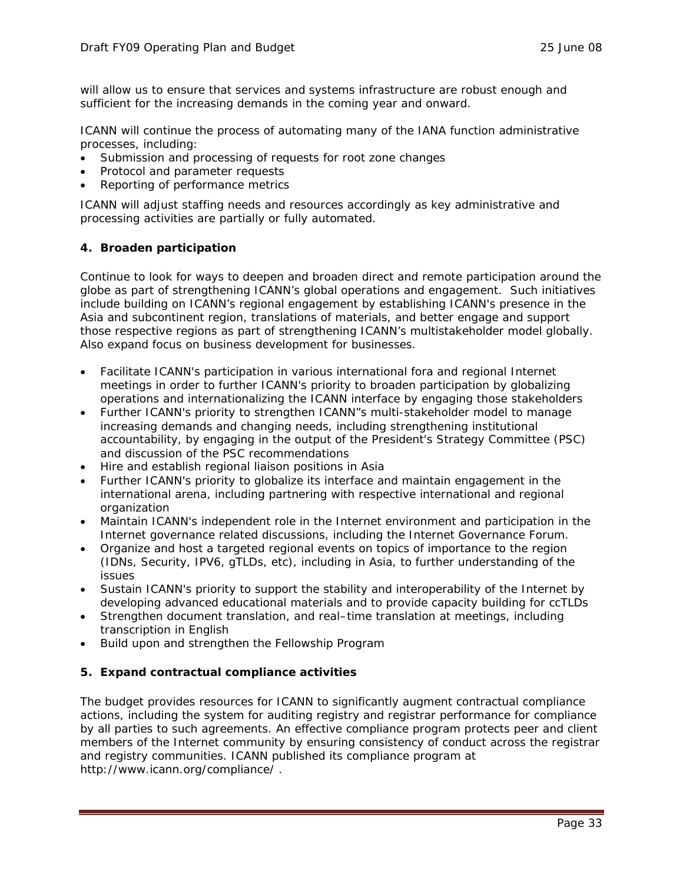will allow us to ensure that services and systems infrastructure are robust enough and sufficient for the increasing demands in the coming year and onward.

ICANN will continue the process of automating many of the IANA function administrative processes, including:

- Submission and processing of requests for root zone changes
- Protocol and parameter requests
- Reporting of performance metrics

ICANN will adjust staffing needs and resources accordingly as key administrative and processing activities are partially or fully automated.

### **4. Broaden participation**

Continue to look for ways to deepen and broaden direct and remote participation around the globe as part of strengthening ICANN's global operations and engagement. Such initiatives include building on ICANN's regional engagement by establishing ICANN's presence in the Asia and subcontinent region, translations of materials, and better engage and support those respective regions as part of strengthening ICANN's multistakeholder model globally. Also expand focus on business development for businesses.

- Facilitate ICANN's participation in various international fora and regional Internet meetings in order to further ICANN's priority to broaden participation by globalizing operations and internationalizing the ICANN interface by engaging those stakeholders
- Further ICANN's priority to strengthen ICANN"s multi-stakeholder model to manage increasing demands and changing needs, including strengthening institutional accountability, by engaging in the output of the President's Strategy Committee (PSC) and discussion of the PSC recommendations
- Hire and establish regional liaison positions in Asia
- Further ICANN's priority to globalize its interface and maintain engagement in the international arena, including partnering with respective international and regional organization
- Maintain ICANN's independent role in the Internet environment and participation in the Internet governance related discussions, including the Internet Governance Forum.
- Organize and host a targeted regional events on topics of importance to the region (IDNs, Security, IPV6, gTLDs, etc), including in Asia, to further understanding of the issues
- Sustain ICANN's priority to support the stability and interoperability of the Internet by developing advanced educational materials and to provide capacity building for ccTLDs
- Strengthen document translation, and real–time translation at meetings, including transcription in English
- Build upon and strengthen the Fellowship Program

### **5. Expand contractual compliance activities**

The budget provides resources for ICANN to significantly augment contractual compliance actions, including the system for auditing registry and registrar performance for compliance by all parties to such agreements. An effective compliance program protects peer and client members of the Internet community by ensuring consistency of conduct across the registrar and registry communities. ICANN published its compliance program at http://www.icann.org/compliance/ .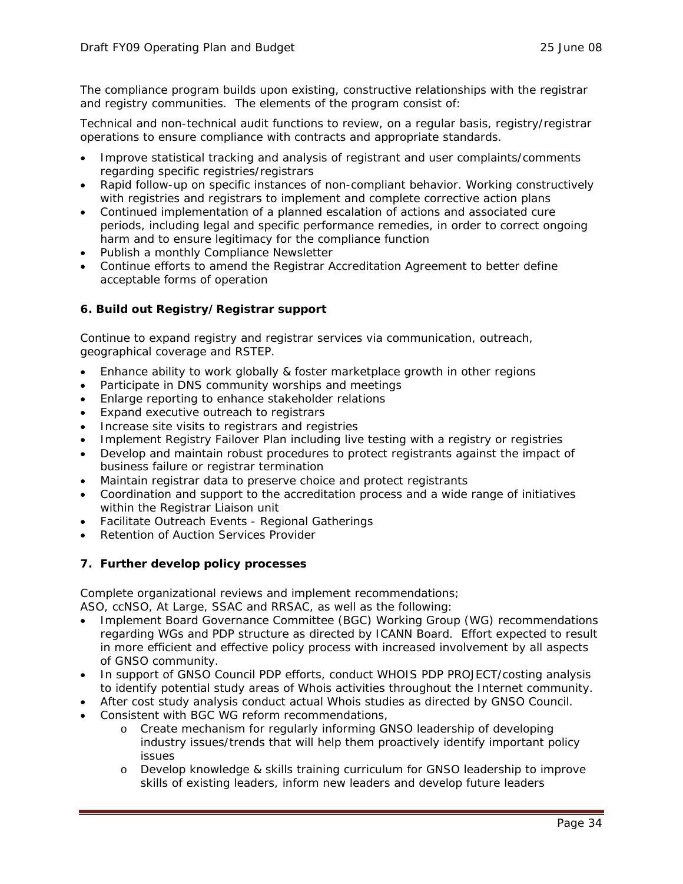The compliance program builds upon existing, constructive relationships with the registrar and registry communities. The elements of the program consist of:

Technical and non-technical audit functions to review, on a regular basis, registry/registrar operations to ensure compliance with contracts and appropriate standards.

- Improve statistical tracking and analysis of registrant and user complaints/comments regarding specific registries/registrars
- Rapid follow-up on specific instances of non-compliant behavior. Working constructively with registries and registrars to implement and complete corrective action plans
- Continued implementation of a planned escalation of actions and associated cure periods, including legal and specific performance remedies, in order to correct ongoing harm and to ensure legitimacy for the compliance function
- Publish a monthly Compliance Newsletter
- Continue efforts to amend the Registrar Accreditation Agreement to better define acceptable forms of operation

#### **6. Build out Registry/Registrar support**

Continue to expand registry and registrar services via communication, outreach, geographical coverage and RSTEP.

- Enhance ability to work globally & foster marketplace growth in other regions
- Participate in DNS community worships and meetings
- Enlarge reporting to enhance stakeholder relations
- Expand executive outreach to registrars
- Increase site visits to registrars and registries
- Implement Registry Failover Plan including live testing with a registry or registries
- Develop and maintain robust procedures to protect registrants against the impact of business failure or registrar termination
- Maintain registrar data to preserve choice and protect registrants
- Coordination and support to the accreditation process and a wide range of initiatives within the Registrar Liaison unit
- Facilitate Outreach Events Regional Gatherings
- Retention of Auction Services Provider

#### **7. Further develop policy processes**

Complete organizational reviews and implement recommendations;

ASO, ccNSO, At Large, SSAC and RRSAC, as well as the following:

- Implement Board Governance Committee (BGC) Working Group (WG) recommendations regarding WGs and PDP structure as directed by ICANN Board. Effort expected to result in more efficient and effective policy process with increased involvement by all aspects of GNSO community.
- In support of GNSO Council PDP efforts, conduct WHOIS PDP PROJECT/costing analysis to identify potential study areas of Whois activities throughout the Internet community.
- After cost study analysis conduct actual Whois studies as directed by GNSO Council.
- Consistent with BGC WG reform recommendations,
	- o Create mechanism for regularly informing GNSO leadership of developing industry issues/trends that will help them proactively identify important policy issues
	- o Develop knowledge & skills training curriculum for GNSO leadership to improve skills of existing leaders, inform new leaders and develop future leaders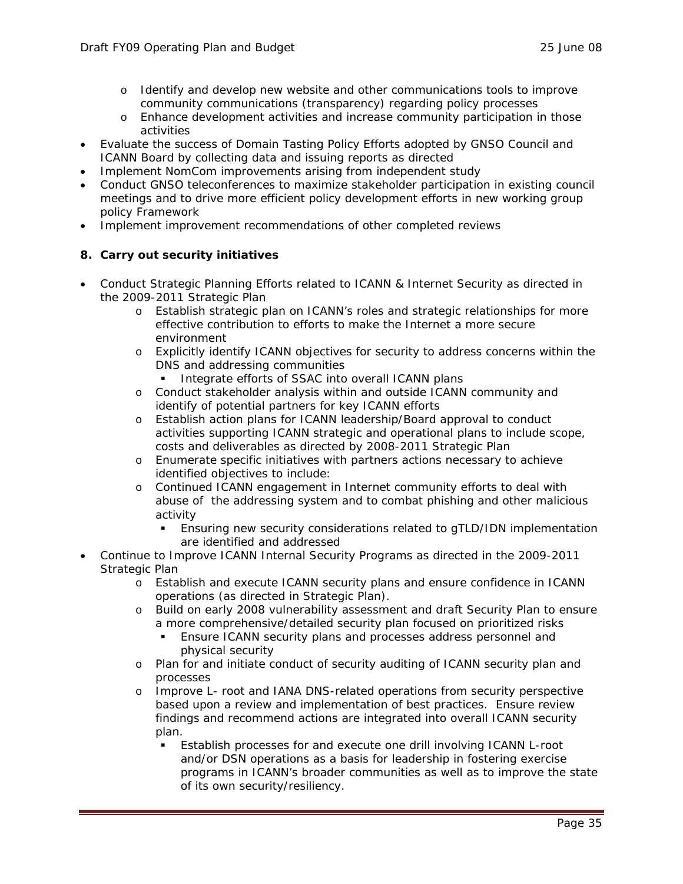- o Identify and develop new website and other communications tools to improve community communications (transparency) regarding policy processes
- o Enhance development activities and increase community participation in those activities
- Evaluate the success of Domain Tasting Policy Efforts adopted by GNSO Council and ICANN Board by collecting data and issuing reports as directed
- Implement NomCom improvements arising from independent study
- Conduct GNSO teleconferences to maximize stakeholder participation in existing council meetings and to drive more efficient policy development efforts in new working group policy Framework
- Implement improvement recommendations of other completed reviews

### **8. Carry out security initiatives**

- Conduct Strategic Planning Efforts related to ICANN & Internet Security as directed in the 2009-2011 Strategic Plan
	- o Establish strategic plan on ICANN's roles and strategic relationships for more effective contribution to efforts to make the Internet a more secure environment
	- o Explicitly identify ICANN objectives for security to address concerns within the DNS and addressing communities
		- Integrate efforts of SSAC into overall ICANN plans
	- o Conduct stakeholder analysis within and outside ICANN community and identify of potential partners for key ICANN efforts
	- o Establish action plans for ICANN leadership/Board approval to conduct activities supporting ICANN strategic and operational plans to include scope, costs and deliverables as directed by 2008-2011 Strategic Plan
	- o Enumerate specific initiatives with partners actions necessary to achieve identified objectives to include:
	- o Continued ICANN engagement in Internet community efforts to deal with abuse of the addressing system and to combat phishing and other malicious activity
		- Ensuring new security considerations related to gTLD/IDN implementation are identified and addressed
- Continue to Improve ICANN Internal Security Programs as directed in the 2009-2011 Strategic Plan
	- o Establish and execute ICANN security plans and ensure confidence in ICANN operations (as directed in Strategic Plan).
	- o Build on early 2008 vulnerability assessment and draft Security Plan to ensure a more comprehensive/detailed security plan focused on prioritized risks
		- Ensure ICANN security plans and processes address personnel and physical security
	- o Plan for and initiate conduct of security auditing of ICANN security plan and processes
	- o Improve L- root and IANA DNS-related operations from security perspective based upon a review and implementation of best practices. Ensure review findings and recommend actions are integrated into overall ICANN security plan.
		- Establish processes for and execute one drill involving ICANN L-root and/or DSN operations as a basis for leadership in fostering exercise programs in ICANN's broader communities as well as to improve the state of its own security/resiliency.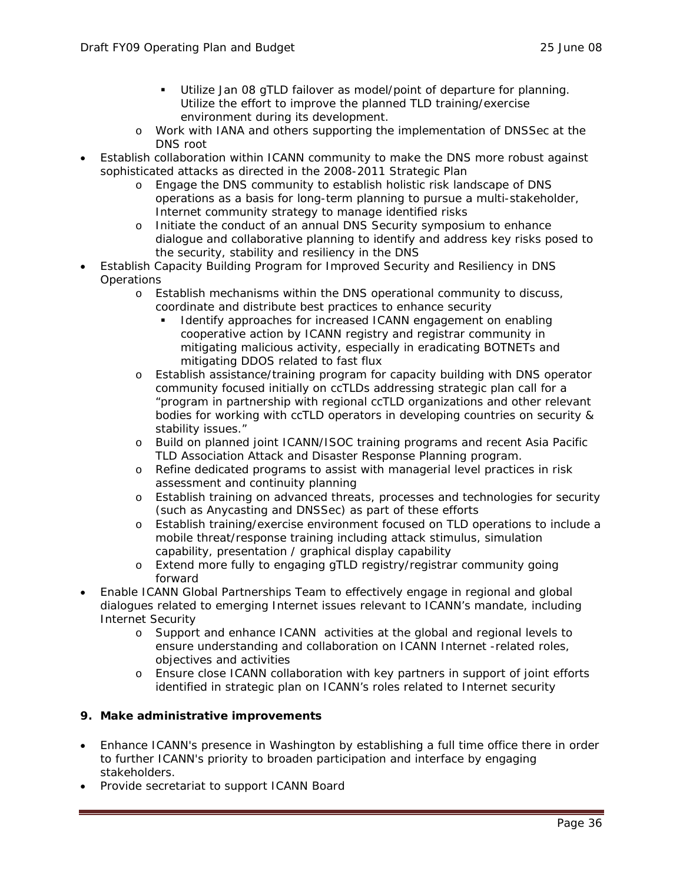- Utilize Jan 08 gTLD failover as model/point of departure for planning. Utilize the effort to improve the planned TLD training/exercise environment during its development.
- o Work with IANA and others supporting the implementation of DNSSec at the DNS root
- Establish collaboration within ICANN community to make the DNS more robust against sophisticated attacks as directed in the 2008-2011 Strategic Plan
	- o Engage the DNS community to establish holistic risk landscape of DNS operations as a basis for long-term planning to pursue a multi-stakeholder, Internet community strategy to manage identified risks
	- o Initiate the conduct of an annual DNS Security symposium to enhance dialogue and collaborative planning to identify and address key risks posed to the security, stability and resiliency in the DNS
- Establish Capacity Building Program for Improved Security and Resiliency in DNS **Operations** 
	- o Establish mechanisms within the DNS operational community to discuss, coordinate and distribute best practices to enhance security
		- Identify approaches for increased ICANN engagement on enabling cooperative action by ICANN registry and registrar community in mitigating malicious activity, especially in eradicating BOTNETs and mitigating DDOS related to fast flux
	- o Establish assistance/training program for capacity building with DNS operator community focused initially on ccTLDs addressing strategic plan call for a "program in partnership with regional ccTLD organizations and other relevant bodies for working with ccTLD operators in developing countries on security & stability issues."
	- o Build on planned joint ICANN/ISOC training programs and recent Asia Pacific TLD Association Attack and Disaster Response Planning program.
	- o Refine dedicated programs to assist with managerial level practices in risk assessment and continuity planning
	- o Establish training on advanced threats, processes and technologies for security (such as Anycasting and DNSSec) as part of these efforts
	- o Establish training/exercise environment focused on TLD operations to include a mobile threat/response training including attack stimulus, simulation capability, presentation / graphical display capability
	- o Extend more fully to engaging gTLD registry/registrar community going forward
- Enable ICANN Global Partnerships Team to effectively engage in regional and global dialogues related to emerging Internet issues relevant to ICANN's mandate, including Internet Security
	- o Support and enhance ICANN activities at the global and regional levels to ensure understanding and collaboration on ICANN Internet -related roles, objectives and activities
	- o Ensure close ICANN collaboration with key partners in support of joint efforts identified in strategic plan on ICANN's roles related to Internet security

### **9. Make administrative improvements**

- Enhance ICANN's presence in Washington by establishing a full time office there in order to further ICANN's priority to broaden participation and interface by engaging stakeholders.
- Provide secretariat to support ICANN Board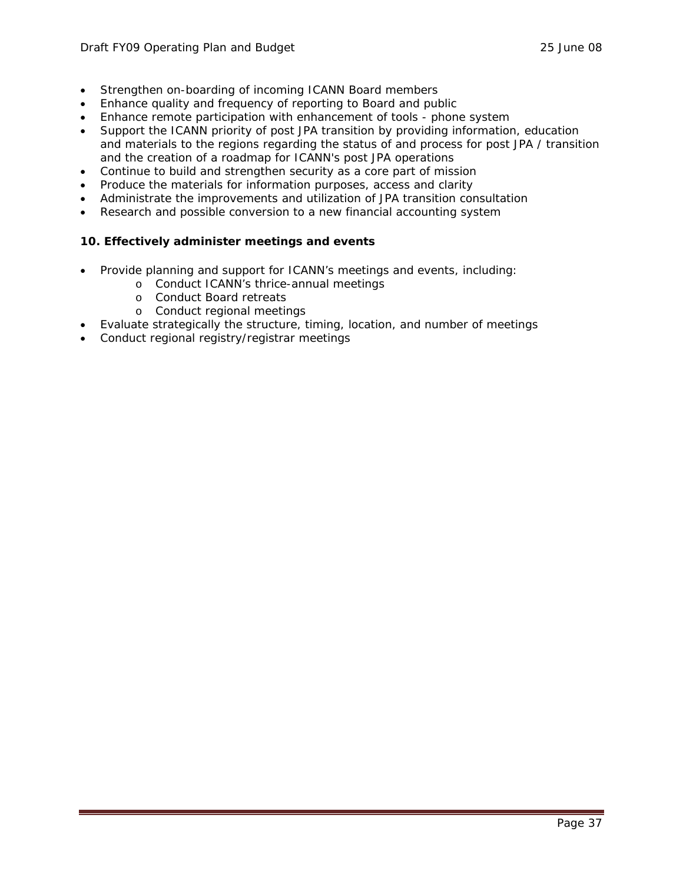- Strengthen on-boarding of incoming ICANN Board members
- Enhance quality and frequency of reporting to Board and public
- Enhance remote participation with enhancement of tools phone system
- Support the ICANN priority of post JPA transition by providing information, education and materials to the regions regarding the status of and process for post JPA / transition and the creation of a roadmap for ICANN's post JPA operations
- Continue to build and strengthen security as a core part of mission
- Produce the materials for information purposes, access and clarity
- Administrate the improvements and utilization of JPA transition consultation
- Research and possible conversion to a new financial accounting system

### **10. Effectively administer meetings and events**

- Provide planning and support for ICANN's meetings and events, including:
	- o Conduct ICANN's thrice-annual meetings
	- o Conduct Board retreats
	- o Conduct regional meetings
- Evaluate strategically the structure, timing, location, and number of meetings
- Conduct regional registry/registrar meetings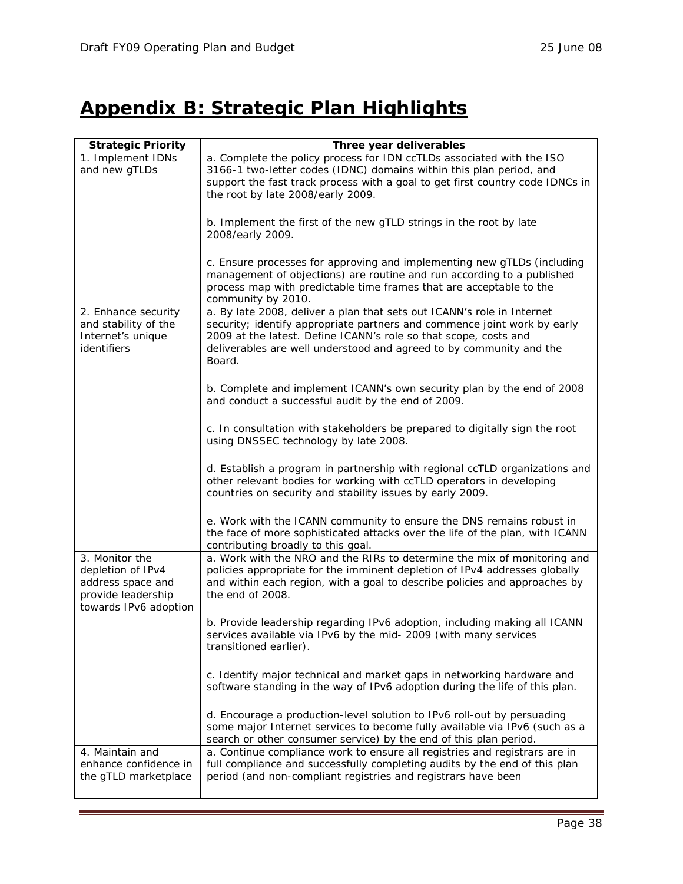## **Appendix B: Strategic Plan Highlights**

| <b>Strategic Priority</b>                                                                               | Three year deliverables                                                                                                                                                                                                                                                                                 |
|---------------------------------------------------------------------------------------------------------|---------------------------------------------------------------------------------------------------------------------------------------------------------------------------------------------------------------------------------------------------------------------------------------------------------|
| 1. Implement IDNs<br>and new gTLDs                                                                      | a. Complete the policy process for IDN ccTLDs associated with the ISO<br>3166-1 two-letter codes (IDNC) domains within this plan period, and<br>support the fast track process with a goal to get first country code IDNCs in<br>the root by late 2008/early 2009.                                      |
|                                                                                                         | b. Implement the first of the new gTLD strings in the root by late<br>2008/early 2009.                                                                                                                                                                                                                  |
|                                                                                                         | c. Ensure processes for approving and implementing new gTLDs (including<br>management of objections) are routine and run according to a published<br>process map with predictable time frames that are acceptable to the<br>community by 2010.                                                          |
| 2. Enhance security<br>and stability of the<br>Internet's unique<br>identifiers                         | a. By late 2008, deliver a plan that sets out ICANN's role in Internet<br>security; identify appropriate partners and commence joint work by early<br>2009 at the latest. Define ICANN's role so that scope, costs and<br>deliverables are well understood and agreed to by community and the<br>Board. |
|                                                                                                         | b. Complete and implement ICANN's own security plan by the end of 2008<br>and conduct a successful audit by the end of 2009.                                                                                                                                                                            |
|                                                                                                         | c. In consultation with stakeholders be prepared to digitally sign the root<br>using DNSSEC technology by late 2008.                                                                                                                                                                                    |
|                                                                                                         | d. Establish a program in partnership with regional ccTLD organizations and<br>other relevant bodies for working with ccTLD operators in developing<br>countries on security and stability issues by early 2009.                                                                                        |
|                                                                                                         | e. Work with the ICANN community to ensure the DNS remains robust in<br>the face of more sophisticated attacks over the life of the plan, with ICANN<br>contributing broadly to this goal.                                                                                                              |
| 3. Monitor the<br>depletion of IPv4<br>address space and<br>provide leadership<br>towards IPv6 adoption | a. Work with the NRO and the RIRs to determine the mix of monitoring and<br>policies appropriate for the imminent depletion of IPv4 addresses globally<br>and within each region, with a goal to describe policies and approaches by<br>the end of 2008.                                                |
|                                                                                                         | b. Provide leadership regarding IPv6 adoption, including making all ICANN<br>services available via IPv6 by the mid- 2009 (with many services<br>transitioned earlier).                                                                                                                                 |
|                                                                                                         | c. Identify major technical and market gaps in networking hardware and<br>software standing in the way of IPv6 adoption during the life of this plan.                                                                                                                                                   |
|                                                                                                         | d. Encourage a production-level solution to IPv6 roll-out by persuading<br>some major Internet services to become fully available via IPv6 (such as a<br>search or other consumer service) by the end of this plan period.                                                                              |
| 4. Maintain and<br>enhance confidence in<br>the gTLD marketplace                                        | a. Continue compliance work to ensure all registries and registrars are in<br>full compliance and successfully completing audits by the end of this plan<br>period (and non-compliant registries and registrars have been                                                                               |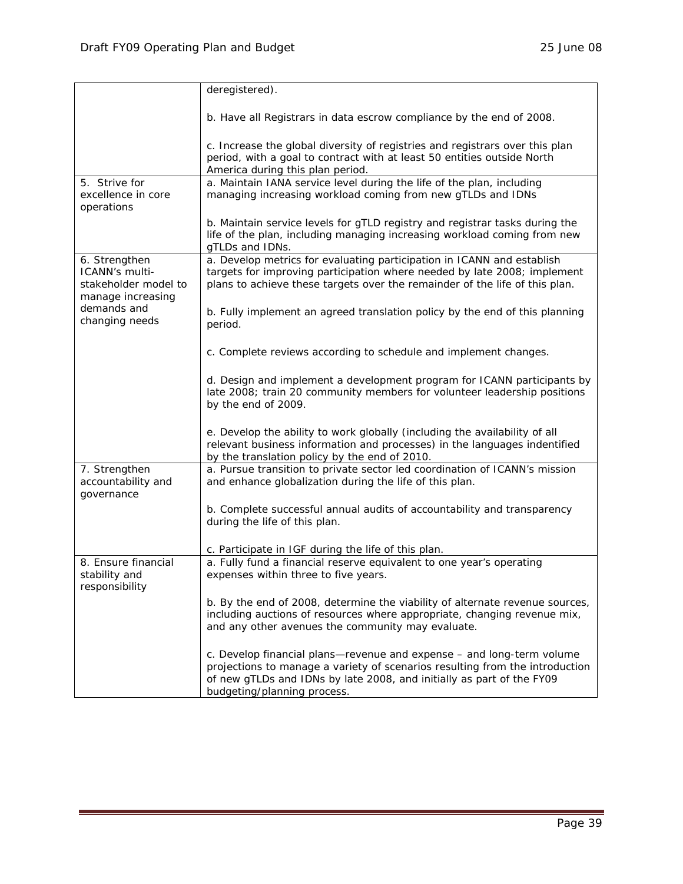|                                                             | deregistered).                                                                                                                                          |
|-------------------------------------------------------------|---------------------------------------------------------------------------------------------------------------------------------------------------------|
|                                                             |                                                                                                                                                         |
|                                                             | b. Have all Registrars in data escrow compliance by the end of 2008.                                                                                    |
|                                                             | c. Increase the global diversity of registries and registrars over this plan                                                                            |
|                                                             | period, with a goal to contract with at least 50 entities outside North<br>America during this plan period.                                             |
| 5. Strive for                                               | a. Maintain IANA service level during the life of the plan, including                                                                                   |
| excellence in core<br>operations                            | managing increasing workload coming from new gTLDs and IDNs                                                                                             |
|                                                             | b. Maintain service levels for gTLD registry and registrar tasks during the                                                                             |
|                                                             | life of the plan, including managing increasing workload coming from new<br>gTLDs and IDNs.                                                             |
| 6. Strengthen                                               | a. Develop metrics for evaluating participation in ICANN and establish                                                                                  |
| ICANN's multi-<br>stakeholder model to<br>manage increasing | targets for improving participation where needed by late 2008; implement<br>plans to achieve these targets over the remainder of the life of this plan. |
| demands and                                                 | b. Fully implement an agreed translation policy by the end of this planning                                                                             |
| changing needs                                              | period.                                                                                                                                                 |
|                                                             |                                                                                                                                                         |
|                                                             | c. Complete reviews according to schedule and implement changes.                                                                                        |
|                                                             | d. Design and implement a development program for ICANN participants by                                                                                 |
|                                                             | late 2008; train 20 community members for volunteer leadership positions<br>by the end of 2009.                                                         |
|                                                             |                                                                                                                                                         |
|                                                             | e. Develop the ability to work globally (including the availability of all                                                                              |
|                                                             | relevant business information and processes) in the languages indentified                                                                               |
| 7. Strengthen                                               | by the translation policy by the end of 2010.<br>a. Pursue transition to private sector led coordination of ICANN's mission                             |
| accountability and                                          | and enhance globalization during the life of this plan.                                                                                                 |
| governance                                                  |                                                                                                                                                         |
|                                                             | b. Complete successful annual audits of accountability and transparency<br>during the life of this plan.                                                |
|                                                             |                                                                                                                                                         |
|                                                             | c. Participate in IGF during the life of this plan.                                                                                                     |
| 8. Ensure financial                                         | a. Fully fund a financial reserve equivalent to one year's operating                                                                                    |
| stability and<br>responsibility                             | expenses within three to five years.                                                                                                                    |
|                                                             | b. By the end of 2008, determine the viability of alternate revenue sources,                                                                            |
|                                                             | including auctions of resources where appropriate, changing revenue mix,                                                                                |
|                                                             | and any other avenues the community may evaluate.                                                                                                       |
|                                                             | c. Develop financial plans-revenue and expense - and long-term volume                                                                                   |
|                                                             | projections to manage a variety of scenarios resulting from the introduction                                                                            |
|                                                             | of new gTLDs and IDNs by late 2008, and initially as part of the FY09<br>budgeting/planning process.                                                    |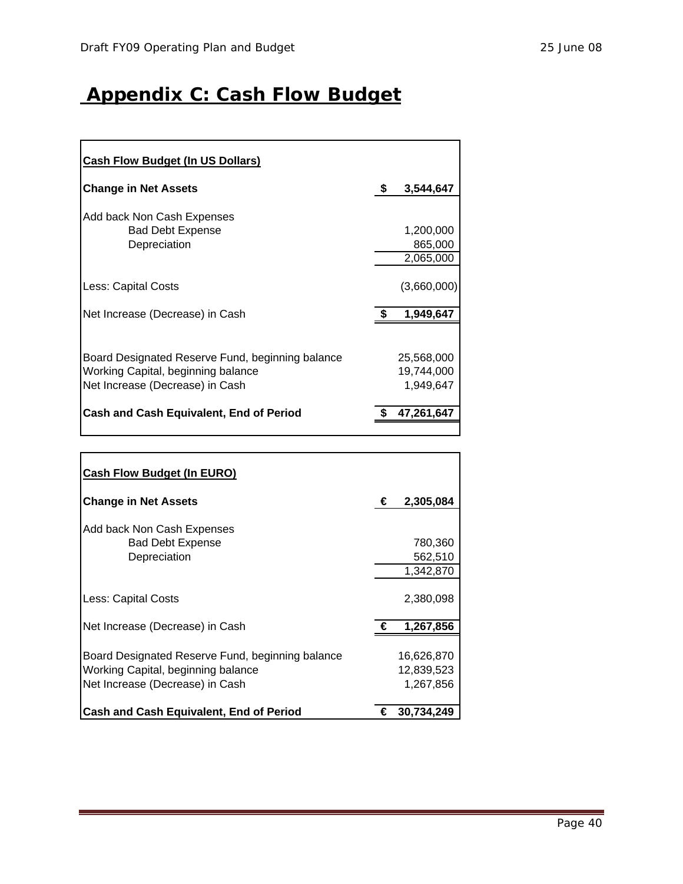## **Appendix C: Cash Flow Budget**

| <b>Cash Flow Budget (In US Dollars)</b>                                                                                   |                                       |
|---------------------------------------------------------------------------------------------------------------------------|---------------------------------------|
| <b>Change in Net Assets</b>                                                                                               | \$<br>3,544,647                       |
| Add back Non Cash Expenses<br><b>Bad Debt Expense</b><br>Depreciation                                                     | 1,200,000<br>865,000<br>2,065,000     |
| Less: Capital Costs                                                                                                       | (3,660,000)                           |
| Net Increase (Decrease) in Cash                                                                                           | 1,949,647                             |
| Board Designated Reserve Fund, beginning balance<br>Working Capital, beginning balance<br>Net Increase (Decrease) in Cash | 25,568,000<br>19,744,000<br>1,949,647 |
| Cash and Cash Equivalent, End of Period                                                                                   | 47,261,647                            |

| <b>Cash Flow Budget (In EURO)</b>                                                                                         |   |                                       |
|---------------------------------------------------------------------------------------------------------------------------|---|---------------------------------------|
| <b>Change in Net Assets</b>                                                                                               | € | 2,305,084                             |
| Add back Non Cash Expenses<br><b>Bad Debt Expense</b><br>Depreciation                                                     |   | 780,360<br>562,510<br>1,342,870       |
| Less: Capital Costs                                                                                                       |   | 2,380,098                             |
| Net Increase (Decrease) in Cash                                                                                           | € | 1,267,856                             |
| Board Designated Reserve Fund, beginning balance<br>Working Capital, beginning balance<br>Net Increase (Decrease) in Cash |   | 16,626,870<br>12,839,523<br>1,267,856 |
| <b>Cash and Cash Equivalent, End of Period</b>                                                                            | € | 30,734,249                            |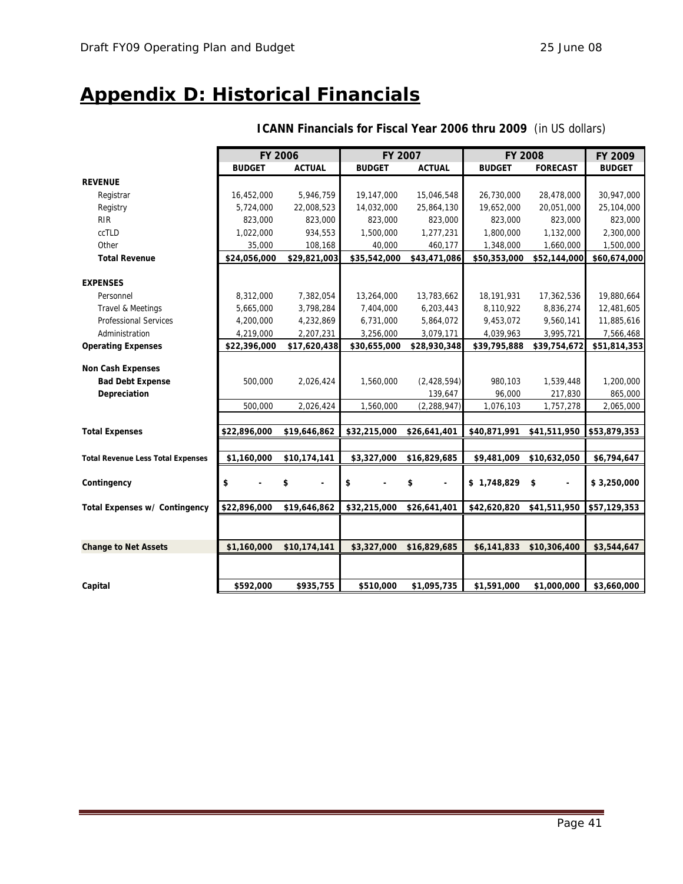## **Appendix D: Historical Financials**

|                                          | <b>FY 2006</b> |               |               | FY 2007       |               | <b>FY 2008</b>                 | FY 2009       |
|------------------------------------------|----------------|---------------|---------------|---------------|---------------|--------------------------------|---------------|
|                                          | <b>BUDGET</b>  | <b>ACTUAL</b> | <b>BUDGET</b> | <b>ACTUAL</b> | <b>BUDGET</b> | <b>FORECAST</b>                | <b>BUDGET</b> |
| <b>REVENUE</b>                           |                |               |               |               |               |                                |               |
| Registrar                                | 16,452,000     | 5,946,759     | 19,147,000    | 15,046,548    | 26,730,000    | 28,478,000                     | 30,947,000    |
| Registry                                 | 5,724,000      | 22,008,523    | 14,032,000    | 25,864,130    | 19,652,000    | 20,051,000                     | 25,104,000    |
| <b>RIR</b>                               | 823,000        | 823,000       | 823,000       | 823,000       | 823,000       | 823,000                        | 823,000       |
| ccTLD                                    | 1,022,000      | 934,553       | 1,500,000     | 1,277,231     | 1,800,000     | 1,132,000                      | 2,300,000     |
| Other                                    | 35,000         | 108,168       | 40,000        | 460,177       | 1,348,000     | 1,660,000                      | 1,500,000     |
| <b>Total Revenue</b>                     | \$24,056,000   | \$29,821,003  | \$35,542,000  | \$43,471,086  | \$50,353,000  | \$52,144,000                   | \$60,674,000  |
|                                          |                |               |               |               |               |                                |               |
| <b>EXPENSES</b>                          |                |               |               |               |               |                                |               |
| Personnel                                | 8,312,000      | 7,382,054     | 13,264,000    | 13,783,662    | 18,191,931    | 17,362,536                     | 19,880,664    |
| Travel & Meetings                        | 5,665,000      | 3,798,284     | 7,404,000     | 6,203,443     | 8,110,922     | 8,836,274                      | 12,481,605    |
| <b>Professional Services</b>             | 4,200,000      | 4,232,869     | 6,731,000     | 5,864,072     | 9,453,072     | 9,560,141                      | 11,885,616    |
| Administration                           | 4,219,000      | 2,207,231     | 3,256,000     | 3,079,171     | 4,039,963     | 3,995,721                      | 7,566,468     |
| <b>Operating Expenses</b>                | \$22,396,000   | \$17,620,438  | \$30,655,000  | \$28,930,348  | \$39,795,888  | \$39,754,672                   | \$51,814,353  |
|                                          |                |               |               |               |               |                                |               |
| <b>Non Cash Expenses</b>                 |                |               |               |               |               |                                |               |
| <b>Bad Debt Expense</b>                  | 500,000        | 2,026,424     | 1,560,000     | (2, 428, 594) | 980,103       | 1,539,448                      | 1,200,000     |
| Depreciation                             |                |               |               | 139,647       | 96,000        | 217,830                        | 865,000       |
|                                          | 500,000        | 2,026,424     | 1,560,000     | (2, 288, 947) | 1,076,103     | 1,757,278                      | 2,065,000     |
| <b>Total Expenses</b>                    | \$22,896,000   | \$19,646,862  | \$32,215,000  | \$26,641,401  | \$40,871,991  | \$41,511,950                   | \$53,879,353  |
|                                          |                |               |               |               |               |                                |               |
| <b>Total Revenue Less Total Expenses</b> | \$1,160,000    | \$10,174,141  | \$3,327,000   | \$16,829,685  | \$9,481,009   | \$10,632,050                   | \$6,794,647   |
|                                          |                |               |               |               |               |                                |               |
| Contingency                              | \$             | \$            | \$            | \$            | \$1,748,829   | \$<br>$\overline{\phantom{0}}$ | \$3,250,000   |
| Total Expenses w/ Contingency            | \$22,896,000   | \$19,646,862  | \$32,215,000  | \$26,641,401  | \$42,620,820  | \$41,511,950                   | \$57,129,353  |
|                                          |                |               |               |               |               |                                |               |
|                                          |                |               |               |               |               |                                |               |
| <b>Change to Net Assets</b>              | \$1,160,000    | \$10,174,141  | \$3,327,000   | \$16,829,685  | \$6,141,833   | \$10,306,400                   | \$3,544,647   |
|                                          |                |               |               |               |               |                                |               |
|                                          |                |               |               |               |               |                                |               |
| Capital                                  | \$592,000      | \$935,755     | \$510,000     | \$1,095,735   | \$1,591,000   | \$1,000,000                    | \$3,660,000   |

### **ICANN Financials for Fiscal Year 2006 thru 2009** (in US dollars)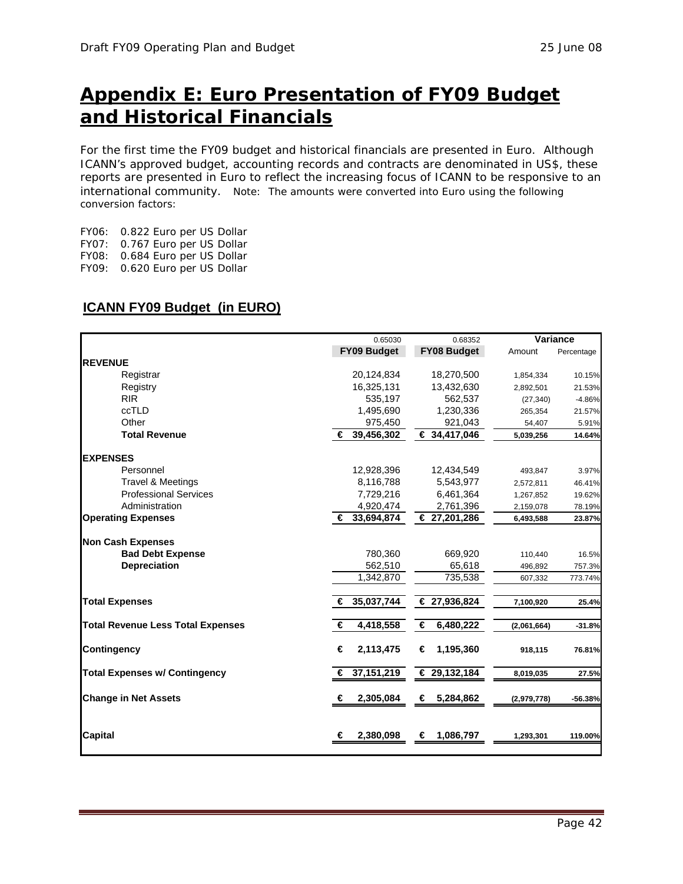## **Appendix E: Euro Presentation of FY09 Budget and Historical Financials**

For the first time the FY09 budget and historical financials are presented in Euro. Although ICANN's approved budget, accounting records and contracts are denominated in US\$, these reports are presented in Euro to reflect the increasing focus of ICANN to be responsive to an international community. Note: The amounts were converted into Euro using the following conversion factors:

FY06: 0.822 Euro per US Dollar FY07: 0.767 Euro per US Dollar FY08: 0.684 Euro per US Dollar FY09: 0.620 Euro per US Dollar

### **ICANN FY09 Budget (in EURO)**

|                                          |                 | 0.65030<br>0.68352 |             | Variance   |
|------------------------------------------|-----------------|--------------------|-------------|------------|
|                                          | FY09 Budget     | <b>FY08 Budget</b> | Amount      | Percentage |
| <b>REVENUE</b>                           |                 |                    |             |            |
| Registrar                                | 20,124,834      | 18,270,500         | 1,854,334   | 10.15%     |
| Registry                                 | 16,325,131      | 13,432,630         | 2,892,501   | 21.53%     |
| <b>RIR</b>                               | 535,197         | 562,537            | (27, 340)   | $-4.86%$   |
| ccTLD                                    | 1,495,690       | 1,230,336          | 265,354     | 21.57%     |
| Other                                    | 975,450         | 921,043            | 54,407      | 5.91%      |
| <b>Total Revenue</b>                     | € 39,456,302    | € 34,417,046       | 5,039,256   | 14.64%     |
| <b>EXPENSES</b>                          |                 |                    |             |            |
| Personnel                                | 12,928,396      | 12,434,549         | 493,847     | 3.97%      |
| Travel & Meetings                        | 8,116,788       | 5,543,977          | 2,572,811   | 46.41%     |
| <b>Professional Services</b>             | 7,729,216       | 6,461,364          | 1,267,852   | 19.62%     |
| Administration                           | 4,920,474       | 2,761,396          | 2,159,078   | 78.19%     |
| <b>Operating Expenses</b>                | € 33,694,874    | € 27,201,286       | 6,493,588   | 23.87%     |
| <b>Non Cash Expenses</b>                 |                 |                    |             |            |
| <b>Bad Debt Expense</b>                  | 780,360         | 669,920            | 110,440     | 16.5%      |
| <b>Depreciation</b>                      | 562,510         | 65,618             | 496,892     | 757.3%     |
|                                          | 1,342,870       | 735,538            | 607,332     | 773.74%    |
| <b>Total Expenses</b>                    | 35,037,744<br>€ | € 27,936,824       | 7,100,920   | 25.4%      |
| <b>Total Revenue Less Total Expenses</b> | 4,418,558<br>€  | 6,480,222<br>€     | (2,061,664) | $-31.8%$   |
| <b>Contingency</b>                       | 2,113,475<br>€  | 1,195,360<br>€     | 918,115     | 76.81%     |
| <b>Total Expenses w/ Contingency</b>     | 37,151,219<br>€ | € 29,132,184       | 8,019,035   | 27.5%      |
| <b>Change in Net Assets</b>              | 2,305,084<br>€  | €<br>5,284,862     | (2,979,778) | $-56.38%$  |
| <b>Capital</b>                           | 2,380,098<br>€  | 1,086,797<br>€     | 1,293,301   | 119.00%    |
|                                          |                 |                    |             |            |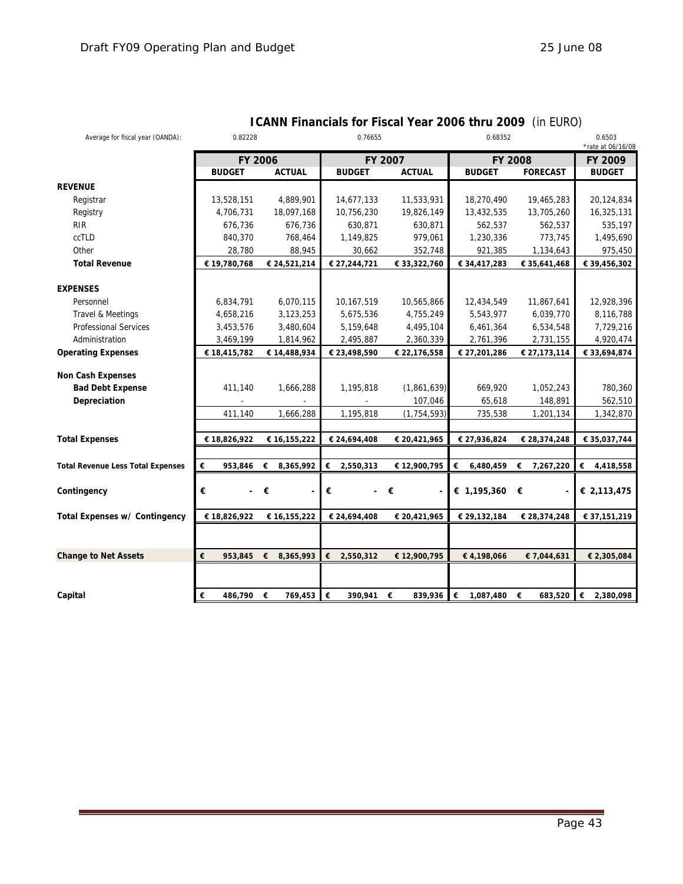| Average for fiscal year (OANDA):             | 0.82228        |                     | 0.76655                       |               | 0.68352        | 0.6503<br>*rate at 06/16/08 |                |
|----------------------------------------------|----------------|---------------------|-------------------------------|---------------|----------------|-----------------------------|----------------|
|                                              | FY 2006        |                     |                               | FY 2007       |                | <b>FY 2008</b>              | FY 2009        |
|                                              | <b>BUDGET</b>  | <b>ACTUAL</b>       | <b>BUDGET</b>                 | <b>ACTUAL</b> | <b>BUDGET</b>  | <b>FORECAST</b>             | <b>BUDGET</b>  |
| <b>REVENUE</b>                               |                |                     |                               |               |                |                             |                |
| Registrar                                    | 13,528,151     | 4,889,901           | 14,677,133                    | 11,533,931    | 18,270,490     | 19,465,283                  | 20,124,834     |
| Registry                                     | 4,706,731      | 18,097,168          | 10,756,230                    | 19,826,149    | 13,432,535     | 13,705,260                  | 16,325,131     |
| <b>RIR</b>                                   | 676,736        | 676,736             | 630,871                       | 630,871       | 562,537        | 562,537                     | 535,197        |
| ccTLD                                        | 840,370        | 768,464             | 1,149,825                     | 979,061       | 1,230,336      | 773,745                     | 1,495,690      |
| Other                                        | 28,780         | 88,945              | 30,662                        | 352,748       | 921,385        | 1,134,643                   | 975,450        |
| <b>Total Revenue</b>                         | € 19,780,768   | € 24,521,214        | € 27,244,721                  | € 33,322,760  | € 34,417,283   | € 35,641,468                | € 39,456,302   |
| <b>EXPENSES</b>                              |                |                     |                               |               |                |                             |                |
| Personnel                                    | 6,834,791      | 6,070,115           | 10,167,519                    | 10,565,866    | 12,434,549     | 11,867,641                  | 12,928,396     |
| Travel & Meetings                            | 4,658,216      | 3,123,253           | 5,675,536                     | 4,755,249     | 5,543,977      | 6,039,770                   | 8,116,788      |
| <b>Professional Services</b>                 | 3,453,576      | 3,480,604           | 5,159,648                     | 4,495,104     | 6,461,364      | 6,534,548                   | 7,729,216      |
| Administration                               | 3,469,199      | 1,814,962           | 2,495,887                     | 2,360,339     | 2,761,396      | 2,731,155                   | 4,920,474      |
| <b>Operating Expenses</b>                    | € 18,415,782   | € 14,488,934        | € 23,498,590                  | € 22,176,558  | € 27,201,286   | € 27,173,114                | € 33,694,874   |
|                                              |                |                     |                               |               |                |                             |                |
| Non Cash Expenses<br><b>Bad Debt Expense</b> | 411,140        | 1,666,288           | 1,195,818                     | (1,861,639)   | 669,920        | 1,052,243                   | 780,360        |
| Depreciation                                 |                |                     |                               | 107,046       | 65,618         | 148,891                     | 562,510        |
|                                              | 411,140        | 1,666,288           | 1,195,818                     | (1, 754, 593) | 735,538        | 1,201,134                   | 1,342,870      |
|                                              |                |                     |                               |               |                |                             |                |
| <b>Total Expenses</b>                        | € 18,826,922   | € 16,155,222        | € 24,694,408                  | € 20,421,965  | € 27,936,824   | € 28,374,248                | € 35,037,744   |
|                                              |                |                     |                               |               |                |                             |                |
| <b>Total Revenue Less Total Expenses</b>     | €<br>953,846   | 8,365,992<br>€      | €<br>2,550,313                | € 12,900,795  | €<br>6,480,459 | 7,267,220<br>€              | €<br>4,418,558 |
|                                              | €<br>$\sim$    | €                   |                               | €             |                | €                           |                |
| Contingency                                  |                |                     | €<br>$\overline{\phantom{0}}$ |               | € 1,195,360    |                             | € 2,113,475    |
| Total Expenses w/ Contingency                | € 18,826,922   | € 16,155,222        | € 24,694,408                  | € 20,421,965  | € 29,132,184   | € 28,374,248                | € 37,151,219   |
|                                              |                |                     |                               |               |                |                             |                |
| <b>Change to Net Assets</b>                  | €              | 953,845 € 8,365,993 | €<br>2,550,312                | € 12,900,795  | €4,198,066     | € 7,044,631                 | € 2,305,084    |
|                                              |                |                     |                               |               |                |                             |                |
| Capital                                      | €<br>486,790 € | 769,453             | €<br>390,941                  | 839,936<br>€  | €<br>1,087,480 | €<br>683,520                | €<br>2,380,098 |

### **ICANN Financials for Fiscal Year 2006 thru 2009** (in EURO)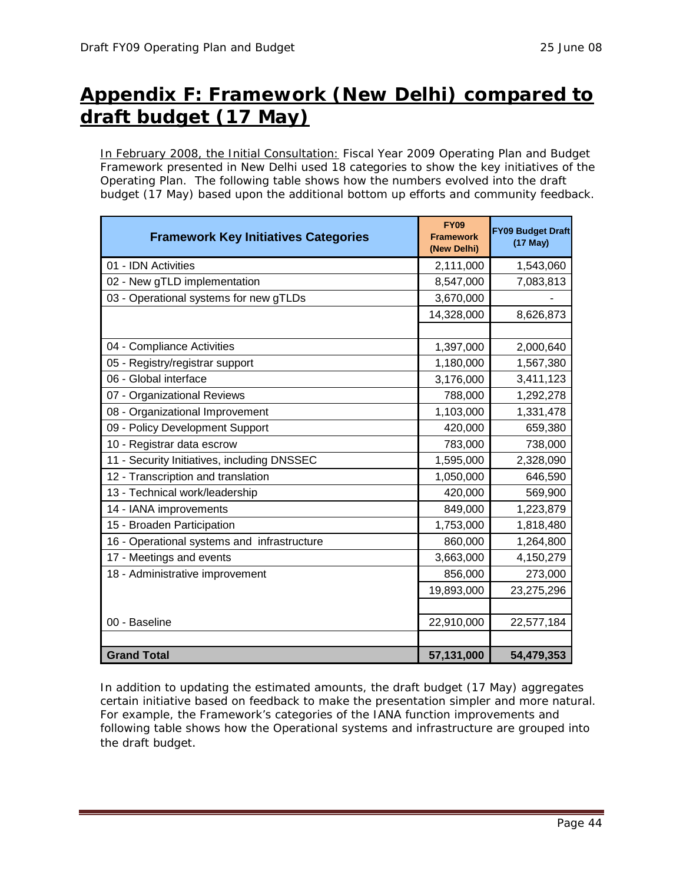## **Appendix F: Framework (New Delhi) compared to draft budget (17 May)**

In February 2008, the Initial Consultation: Fiscal Year 2009 Operating Plan and Budget Framework presented in New Delhi used 18 categories to show the key initiatives of the Operating Plan. The following table shows how the numbers evolved into the draft budget (17 May) based upon the additional bottom up efforts and community feedback.

| <b>Framework Key Initiatives Categories</b> | <b>FY09</b><br><b>Framework</b><br>(New Delhi) | <b>FY09 Budget Draft</b><br>$(17$ May) |
|---------------------------------------------|------------------------------------------------|----------------------------------------|
| 01 - IDN Activities                         | 2,111,000                                      | 1,543,060                              |
| 02 - New gTLD implementation                | 8,547,000                                      | 7,083,813                              |
| 03 - Operational systems for new gTLDs      | 3,670,000                                      |                                        |
|                                             | 14,328,000                                     | 8,626,873                              |
|                                             |                                                |                                        |
| 04 - Compliance Activities                  | 1,397,000                                      | 2,000,640                              |
| 05 - Registry/registrar support             | 1,180,000                                      | 1,567,380                              |
| 06 - Global interface                       | 3,176,000                                      | 3,411,123                              |
| 07 - Organizational Reviews                 | 788,000                                        | 1,292,278                              |
| 08 - Organizational Improvement             | 1,103,000                                      | 1,331,478                              |
| 09 - Policy Development Support             | 420,000                                        | 659,380                                |
| 10 - Registrar data escrow                  | 783,000                                        | 738,000                                |
| 11 - Security Initiatives, including DNSSEC | 1,595,000                                      | 2,328,090                              |
| 12 - Transcription and translation          | 1,050,000                                      | 646,590                                |
| 13 - Technical work/leadership              | 420,000                                        | 569,900                                |
| 14 - IANA improvements                      | 849,000                                        | 1,223,879                              |
| 15 - Broaden Participation                  | 1,753,000                                      | 1,818,480                              |
| 16 - Operational systems and infrastructure | 860,000                                        | 1,264,800                              |
| 17 - Meetings and events                    | 3,663,000                                      | 4,150,279                              |
| 18 - Administrative improvement             | 856,000                                        | 273,000                                |
|                                             | 19,893,000                                     | 23,275,296                             |
|                                             |                                                |                                        |
| 00 - Baseline                               | 22,910,000                                     | 22,577,184                             |
|                                             |                                                |                                        |
| <b>Grand Total</b>                          | 57,131,000                                     | 54,479,353                             |

In addition to updating the estimated amounts, the draft budget (17 May) aggregates certain initiative based on feedback to make the presentation simpler and more natural. For example, the Framework's categories of the IANA function improvements and following table shows how the Operational systems and infrastructure are grouped into the draft budget.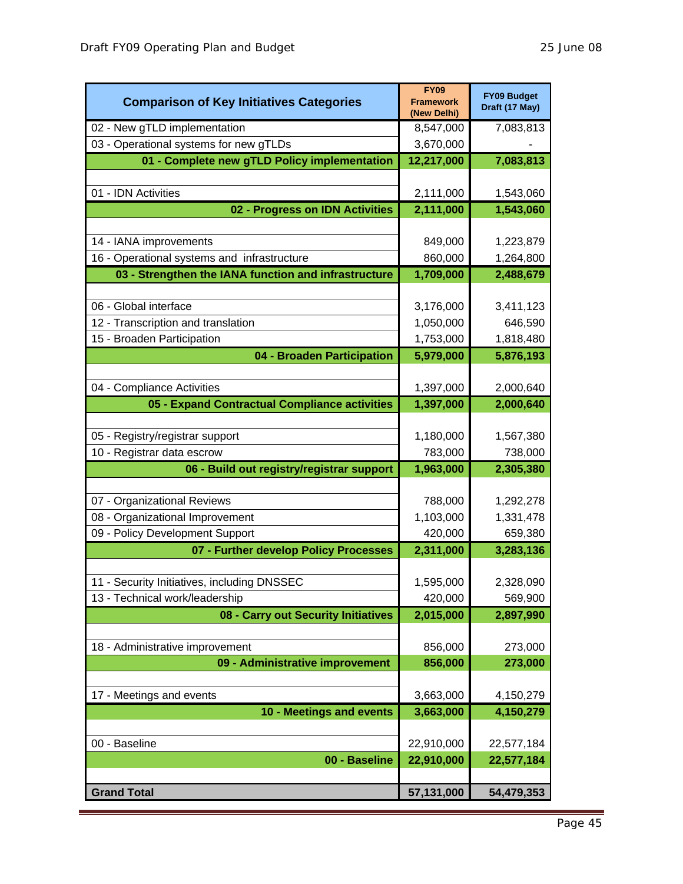| <b>Comparison of Key Initiatives Categories</b>      | <b>FY09</b><br><b>Framework</b><br>(New Delhi) | <b>FY09 Budget</b><br>Draft (17 May) |
|------------------------------------------------------|------------------------------------------------|--------------------------------------|
| 02 - New gTLD implementation                         | 8,547,000                                      | 7,083,813                            |
| 03 - Operational systems for new gTLDs               | 3,670,000                                      |                                      |
| 01 - Complete new gTLD Policy implementation         | 12,217,000                                     | 7,083,813                            |
|                                                      |                                                |                                      |
| 01 - IDN Activities                                  | 2,111,000                                      | 1,543,060                            |
| 02 - Progress on IDN Activities                      | 2,111,000                                      | 1,543,060                            |
|                                                      |                                                |                                      |
| 14 - IANA improvements                               | 849,000                                        | 1,223,879                            |
| 16 - Operational systems and infrastructure          | 860,000                                        | 1,264,800                            |
| 03 - Strengthen the IANA function and infrastructure | 1,709,000                                      | 2,488,679                            |
|                                                      |                                                |                                      |
| 06 - Global interface                                | 3,176,000                                      | 3,411,123                            |
| 12 - Transcription and translation                   | 1,050,000                                      | 646,590                              |
| 15 - Broaden Participation                           | 1,753,000                                      | 1,818,480                            |
| 04 - Broaden Participation                           | 5,979,000                                      | 5,876,193                            |
| 04 - Compliance Activities                           | 1,397,000                                      | 2,000,640                            |
| 05 - Expand Contractual Compliance activities        | 1,397,000                                      | 2,000,640                            |
|                                                      |                                                |                                      |
| 05 - Registry/registrar support                      | 1,180,000                                      | 1,567,380                            |
| 10 - Registrar data escrow                           | 783,000                                        | 738,000                              |
| 06 - Build out registry/registrar support            | 1,963,000                                      | 2,305,380                            |
|                                                      |                                                |                                      |
| 07 - Organizational Reviews                          | 788,000                                        | 1,292,278                            |
| 08 - Organizational Improvement                      | 1,103,000                                      | 1,331,478                            |
| 09 - Policy Development Support                      | 420,000                                        | 659,380                              |
| 07 - Further develop Policy Processes                | 2,311,000                                      | 3,283,136                            |
|                                                      |                                                |                                      |
| 11 - Security Initiatives, including DNSSEC          | 1,595,000                                      | 2,328,090                            |
| 13 - Technical work/leadership                       | 420,000                                        | 569,900                              |
| 08 - Carry out Security Initiatives                  | 2,015,000                                      | 2,897,990                            |
|                                                      |                                                |                                      |
| 18 - Administrative improvement                      | 856,000                                        | 273,000                              |
| 09 - Administrative improvement                      | 856,000                                        | 273,000                              |
| 17 - Meetings and events                             | 3,663,000                                      | 4,150,279                            |
| 10 - Meetings and events                             | 3,663,000                                      | 4,150,279                            |
|                                                      |                                                |                                      |
| 00 - Baseline                                        | 22,910,000                                     | 22,577,184                           |
| 00 - Baseline                                        | 22,910,000                                     | 22,577,184                           |
|                                                      |                                                |                                      |
| <b>Grand Total</b>                                   | 57,131,000                                     | 54,479,353                           |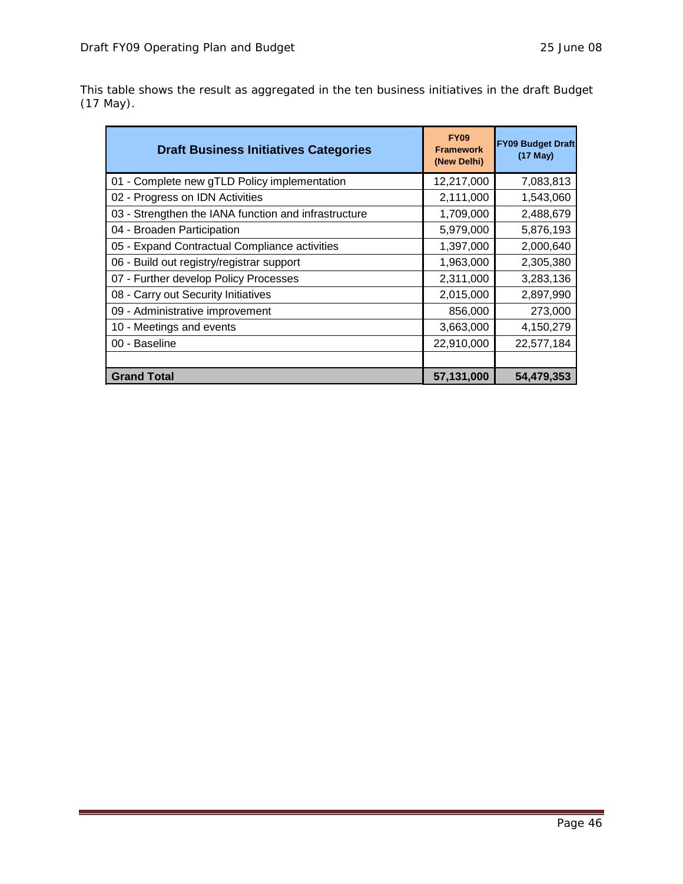This table shows the result as aggregated in the ten business initiatives in the draft Budget (17 May).

| <b>Draft Business Initiatives Categories</b>         | <b>FY09</b><br><b>Framework</b><br>(New Delhi) | <b>FY09 Budget Draft</b><br>$(17$ May) |
|------------------------------------------------------|------------------------------------------------|----------------------------------------|
| 01 - Complete new gTLD Policy implementation         | 12,217,000                                     | 7,083,813                              |
| 02 - Progress on IDN Activities                      | 2,111,000                                      | 1,543,060                              |
| 03 - Strengthen the IANA function and infrastructure | 1,709,000                                      | 2,488,679                              |
| 04 - Broaden Participation                           | 5,979,000                                      | 5,876,193                              |
| 05 - Expand Contractual Compliance activities        | 1,397,000                                      | 2,000,640                              |
| 06 - Build out registry/registrar support            | 1,963,000                                      | 2,305,380                              |
| 07 - Further develop Policy Processes                | 2,311,000                                      | 3,283,136                              |
| 08 - Carry out Security Initiatives                  | 2,015,000                                      | 2,897,990                              |
| 09 - Administrative improvement                      | 856,000                                        | 273,000                                |
| 10 - Meetings and events                             | 3,663,000                                      | 4,150,279                              |
| 00 - Baseline                                        | 22,910,000                                     | 22,577,184                             |
|                                                      |                                                |                                        |
| <b>Grand Total</b>                                   | 57,131,000                                     | 54,479,353                             |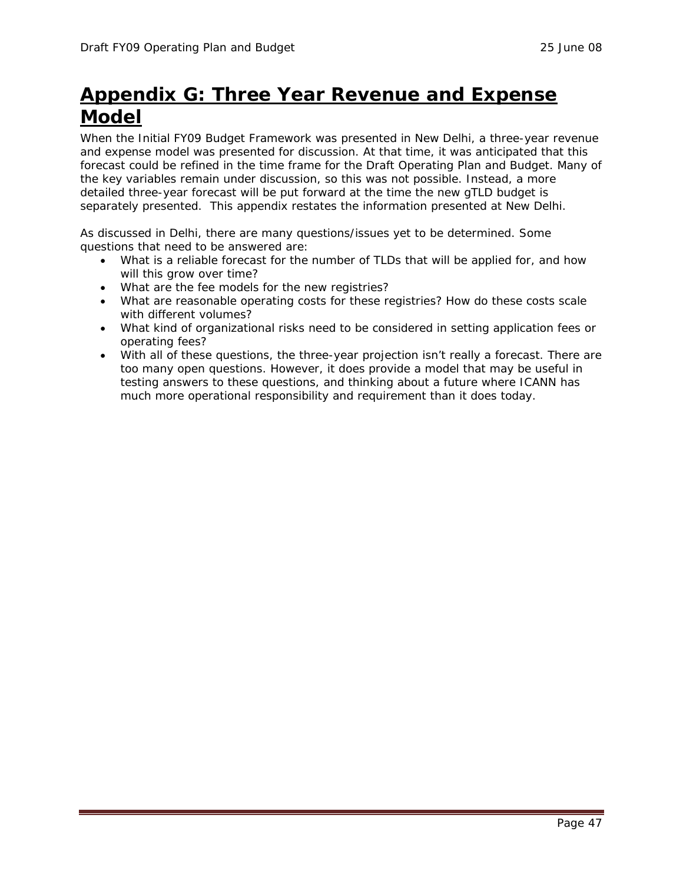## **Appendix G: Three Year Revenue and Expense Model**

When the Initial FY09 Budget Framework was presented in New Delhi, a three-year revenue and expense model was presented for discussion. At that time, it was anticipated that this forecast could be refined in the time frame for the Draft Operating Plan and Budget. Many of the key variables remain under discussion, so this was not possible. Instead, a more detailed three-year forecast will be put forward at the time the new gTLD budget is separately presented. This appendix restates the information presented at New Delhi.

As discussed in Delhi, there are many questions/issues yet to be determined. Some questions that need to be answered are:

- What is a reliable forecast for the number of TLDs that will be applied for, and how will this grow over time?
- What are the fee models for the new registries?
- What are reasonable operating costs for these registries? How do these costs scale with different volumes?
- What kind of organizational risks need to be considered in setting application fees or operating fees?
- With all of these questions, the three-year projection isn't really a forecast. There are too many open questions. However, it does provide a model that may be useful in testing answers to these questions, and thinking about a future where ICANN has much more operational responsibility and requirement than it does today.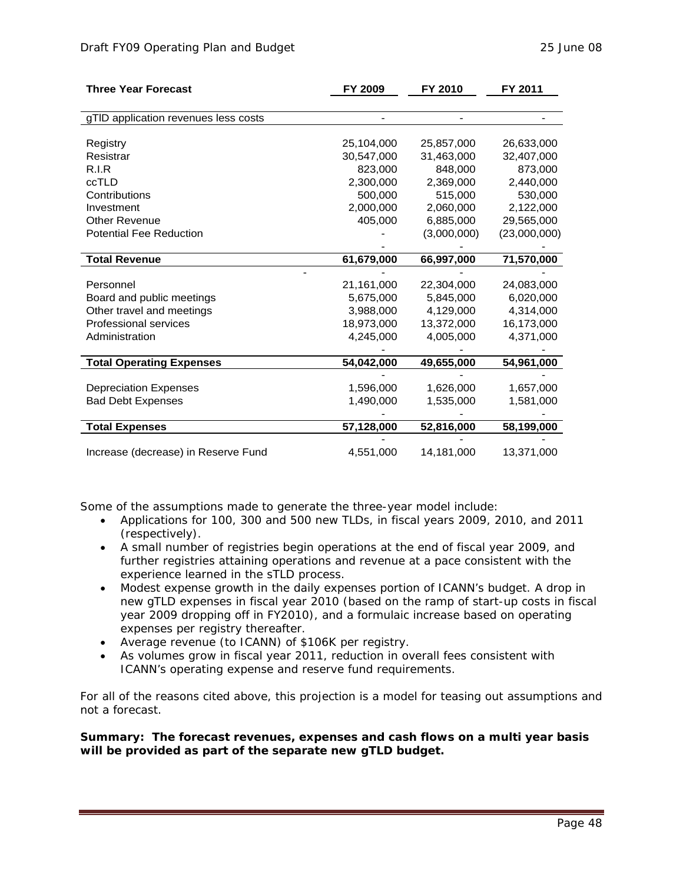| <b>Three Year Forecast</b>           | FY 2009    | FY 2010     | FY 2011      |
|--------------------------------------|------------|-------------|--------------|
|                                      |            |             |              |
| gTID application revenues less costs |            |             |              |
|                                      |            |             |              |
| Registry                             | 25,104,000 | 25,857,000  | 26,633,000   |
| Resistrar                            | 30,547,000 | 31,463,000  | 32,407,000   |
| R.I.R                                | 823,000    | 848,000     | 873,000      |
| ccTLD                                | 2,300,000  | 2,369,000   | 2,440,000    |
| Contributions                        | 500,000    | 515,000     | 530,000      |
| Investment                           | 2,000,000  | 2,060,000   | 2,122,000    |
| <b>Other Revenue</b>                 | 405,000    | 6,885,000   | 29,565,000   |
| <b>Potential Fee Reduction</b>       |            | (3,000,000) | (23,000,000) |
|                                      |            |             |              |
| <b>Total Revenue</b>                 | 61,679,000 | 66,997,000  | 71,570,000   |
|                                      |            |             |              |
| Personnel                            | 21,161,000 | 22,304,000  | 24,083,000   |
| Board and public meetings            | 5,675,000  | 5,845,000   | 6,020,000    |
| Other travel and meetings            | 3,988,000  | 4,129,000   | 4,314,000    |
| <b>Professional services</b>         | 18,973,000 | 13,372,000  | 16,173,000   |
| Administration                       | 4,245,000  | 4,005,000   | 4,371,000    |
|                                      |            |             |              |
| <b>Total Operating Expenses</b>      | 54,042,000 | 49,655,000  | 54,961,000   |
|                                      |            |             |              |
| <b>Depreciation Expenses</b>         | 1,596,000  | 1,626,000   | 1,657,000    |
| <b>Bad Debt Expenses</b>             | 1,490,000  | 1,535,000   | 1,581,000    |
|                                      |            |             |              |
| <b>Total Expenses</b>                | 57,128,000 | 52,816,000  | 58,199,000   |
|                                      |            |             |              |
| Increase (decrease) in Reserve Fund  | 4,551,000  | 14,181,000  | 13,371,000   |

Some of the assumptions made to generate the three-year model include:

- Applications for 100, 300 and 500 new TLDs, in fiscal years 2009, 2010, and 2011 (respectively).
- A small number of registries begin operations at the end of fiscal year 2009, and further registries attaining operations and revenue at a pace consistent with the experience learned in the sTLD process.
- Modest expense growth in the daily expenses portion of ICANN's budget. A drop in new gTLD expenses in fiscal year 2010 (based on the ramp of start-up costs in fiscal year 2009 dropping off in FY2010), and a formulaic increase based on operating expenses per registry thereafter.
- Average revenue (to ICANN) of \$106K per registry.
- As volumes grow in fiscal year 2011, reduction in overall fees consistent with ICANN's operating expense and reserve fund requirements.

For all of the reasons cited above, this projection is a model for teasing out assumptions and *not* a forecast.

**Summary: The forecast revenues, expenses and cash flows on a multi year basis will be provided as part of the separate new gTLD budget.**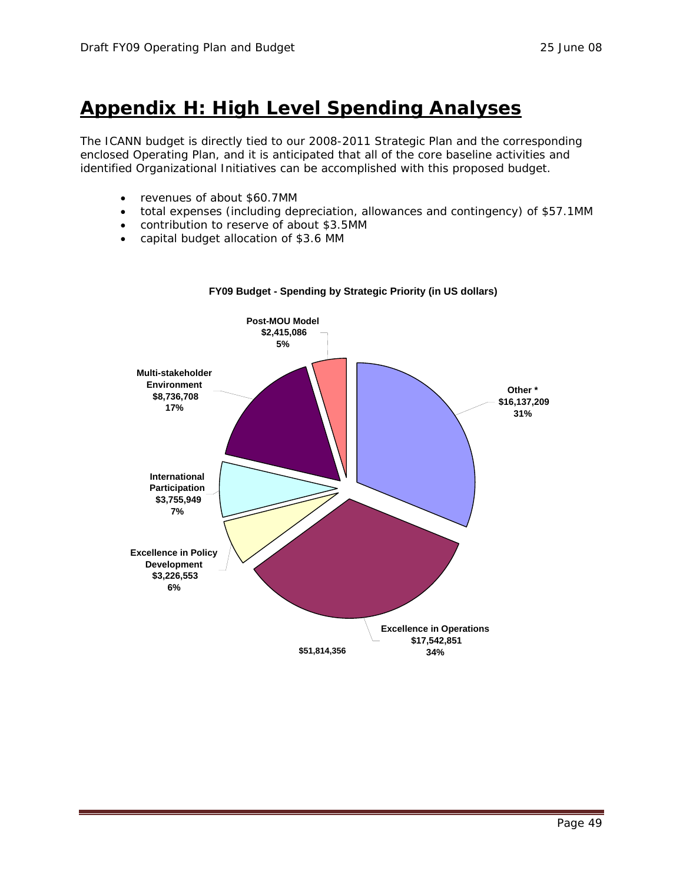## **Appendix H: High Level Spending Analyses**

The ICANN budget is directly tied to our 2008-2011 Strategic Plan and the corresponding enclosed Operating Plan, and it is anticipated that all of the core baseline activities and identified Organizational Initiatives can be accomplished with this proposed budget.

- revenues of about \$60.7MM
- total expenses (including depreciation, allowances and contingency) of \$57.1MM
- contribution to reserve of about \$3.5MM
- capital budget allocation of \$3.6 MM



#### **FY09 Budget - Spending by Strategic Priority (in US dollars)**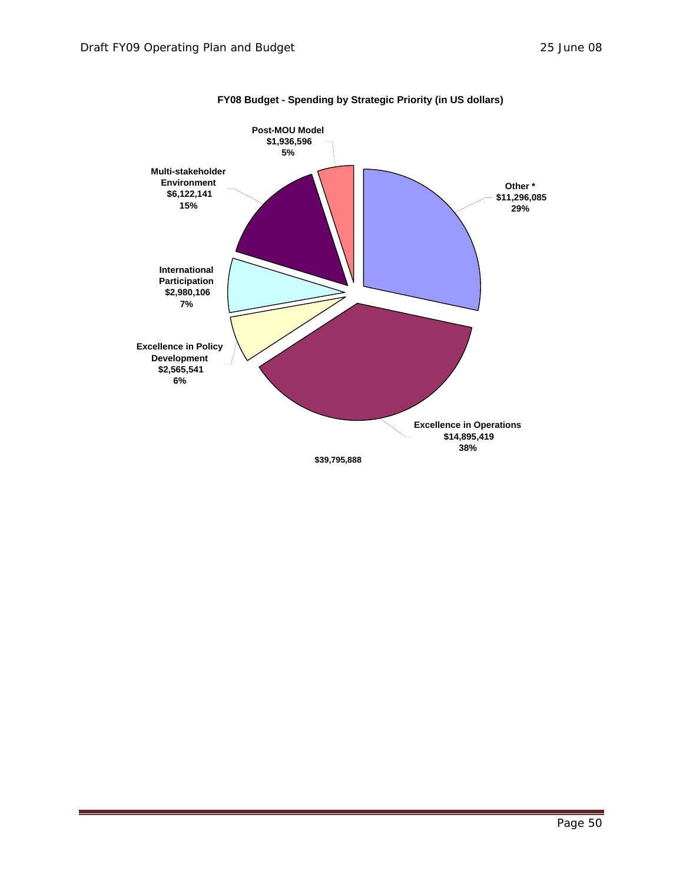

#### **FY08 Budget - Spending by Strategic Priority (in US dollars)**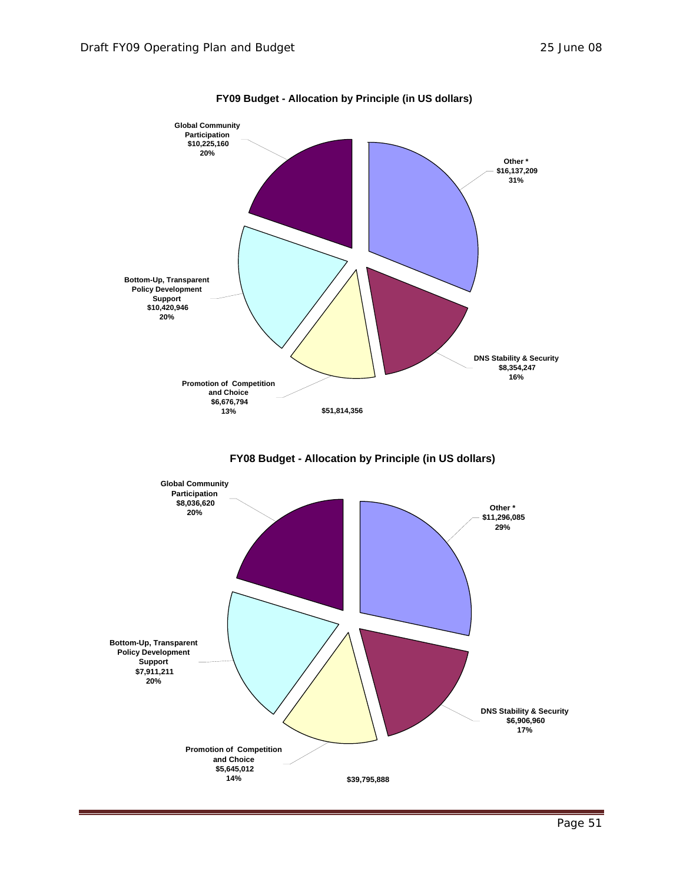

**FY09 Budget - Allocation by Principle (in US dollars)**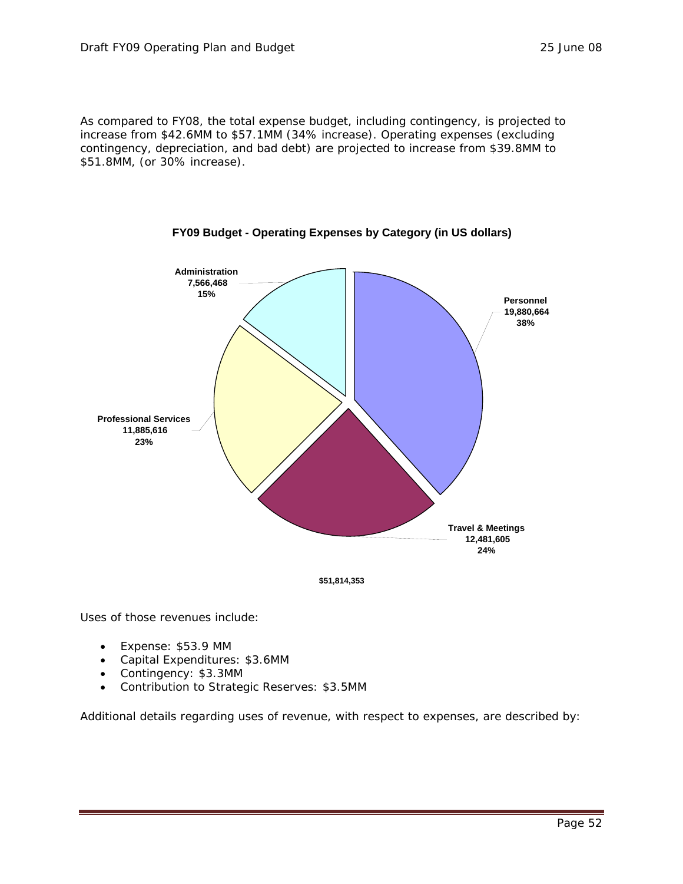As compared to FY08, the total expense budget, including contingency, is projected to increase from \$42.6MM to \$57.1MM (34% increase). Operating expenses (excluding contingency, depreciation, and bad debt) are projected to increase from \$39.8MM to \$51.8MM, (or 30% increase).





Uses of those revenues include:

- Expense: \$53.9 MM
- Capital Expenditures: \$3.6MM
- Contingency: \$3.3MM
- Contribution to Strategic Reserves: \$3.5MM

Additional details regarding uses of revenue, with respect to expenses, are described by: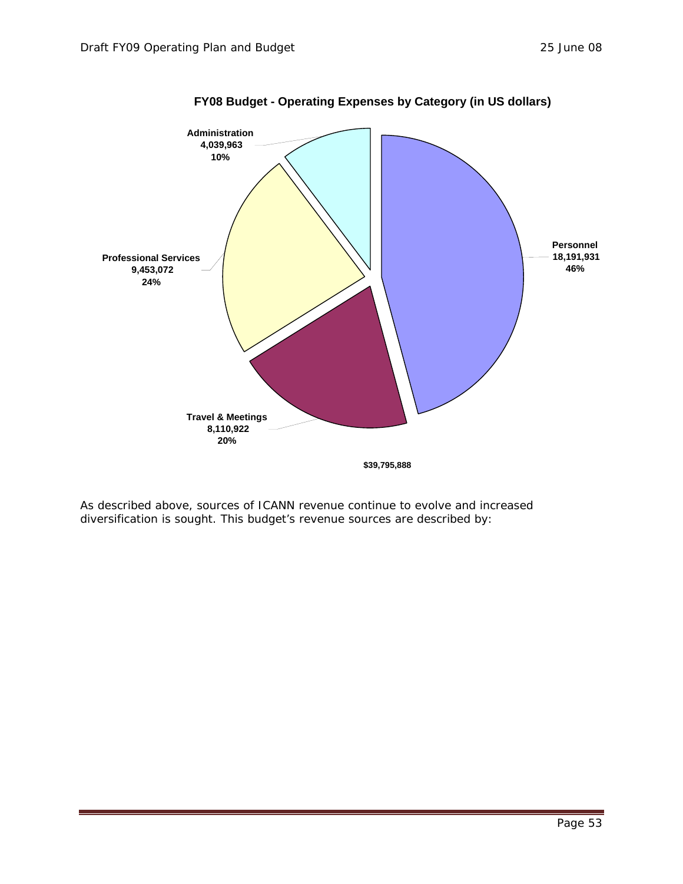

**FY08 Budget - Operating Expenses by Category (in US dollars)**

As described above, sources of ICANN revenue continue to evolve and increased diversification is sought. This budget's revenue sources are described by: